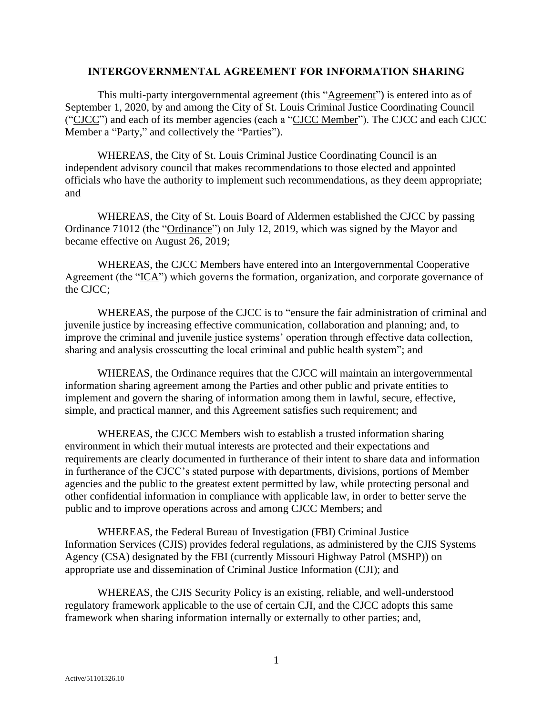## **INTERGOVERNMENTAL AGREEMENT FOR INFORMATION SHARING**

This multi-party intergovernmental agreement (this "Agreement") is entered into as of September 1, 2020, by and among the City of St. Louis Criminal Justice Coordinating Council ("CJCC") and each of its member agencies (each a "CJCC Member"). The CJCC and each CJCC Member a "Party," and collectively the "Parties").

WHEREAS, the City of St. Louis Criminal Justice Coordinating Council is an independent advisory council that makes recommendations to those elected and appointed officials who have the authority to implement such recommendations, as they deem appropriate; and

WHEREAS, the City of St. Louis Board of Aldermen established the CJCC by passing Ordinance 71012 (the "Ordinance") on July 12, 2019, which was signed by the Mayor and became effective on August 26, 2019;

WHEREAS, the CJCC Members have entered into an Intergovernmental Cooperative Agreement (the "ICA") which governs the formation, organization, and corporate governance of the CJCC;

WHEREAS, the purpose of the CJCC is to "ensure the fair administration of criminal and juvenile justice by increasing effective communication, collaboration and planning; and, to improve the criminal and juvenile justice systems' operation through effective data collection, sharing and analysis crosscutting the local criminal and public health system"; and

WHEREAS, the Ordinance requires that the CJCC will maintain an intergovernmental information sharing agreement among the Parties and other public and private entities to implement and govern the sharing of information among them in lawful, secure, effective, simple, and practical manner, and this Agreement satisfies such requirement; and

WHEREAS, the CJCC Members wish to establish a trusted information sharing environment in which their mutual interests are protected and their expectations and requirements are clearly documented in furtherance of their intent to share data and information in furtherance of the CJCC's stated purpose with departments, divisions, portions of Member agencies and the public to the greatest extent permitted by law, while protecting personal and other confidential information in compliance with applicable law, in order to better serve the public and to improve operations across and among CJCC Members; and

WHEREAS, the Federal Bureau of Investigation (FBI) Criminal Justice Information Services (CJIS) provides federal regulations, as administered by the CJIS Systems Agency (CSA) designated by the FBI (currently Missouri Highway Patrol (MSHP)) on appropriate use and dissemination of Criminal Justice Information (CJI); and

WHEREAS, the CJIS Security Policy is an existing, reliable, and well-understood regulatory framework applicable to the use of certain CJI, and the CJCC adopts this same framework when sharing information internally or externally to other parties; and,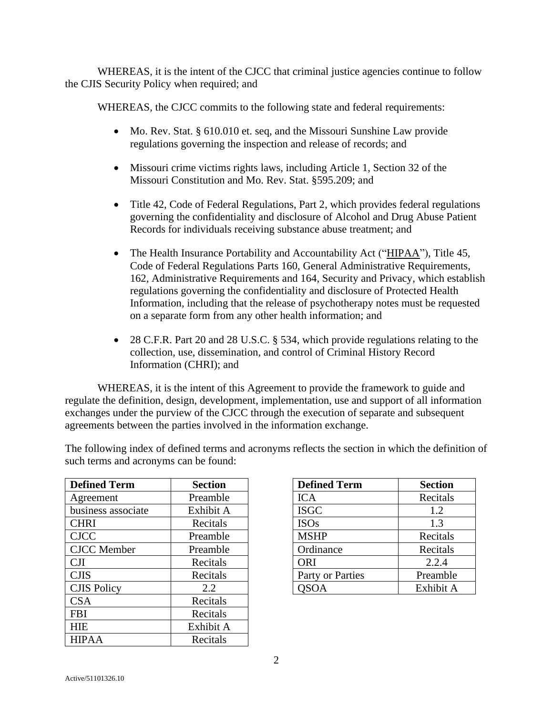WHEREAS, it is the intent of the CJCC that criminal justice agencies continue to follow the CJIS Security Policy when required; and

WHEREAS, the CJCC commits to the following state and federal requirements:

- Mo. Rev. Stat. § 610.010 et. seq, and the Missouri Sunshine Law provide regulations governing the inspection and release of records; and
- Missouri crime victims rights laws, including Article 1, Section 32 of the Missouri Constitution and Mo. Rev. Stat. §595.209; and
- Title 42, Code of Federal Regulations, Part 2, which provides federal regulations governing the confidentiality and disclosure of Alcohol and Drug Abuse Patient Records for individuals receiving substance abuse treatment; and
- The Health Insurance Portability and Accountability Act ("HIPAA"), Title 45, Code of Federal Regulations Parts 160, General Administrative Requirements, 162, Administrative Requirements and 164, Security and Privacy, which establish regulations governing the confidentiality and disclosure of Protected Health Information, including that the release of psychotherapy notes must be requested on a separate form from any other health information; and
- 28 C.F.R. Part 20 and 28 U.S.C. § 534, which provide regulations relating to the collection, use, dissemination, and control of Criminal History Record Information (CHRI); and

WHEREAS, it is the intent of this Agreement to provide the framework to guide and regulate the definition, design, development, implementation, use and support of all information exchanges under the purview of the CJCC through the execution of separate and subsequent agreements between the parties involved in the information exchange.

The following index of defined terms and acronyms reflects the section in which the definition of such terms and acronyms can be found:

| <b>Defined Term</b> | <b>Section</b> |
|---------------------|----------------|
| Agreement           | Preamble       |
| business associate  | Exhibit A      |
| <b>CHRI</b>         | Recitals       |
| <b>CJCC</b>         | Preamble       |
| <b>CJCC</b> Member  | Preamble       |
| <b>CJI</b>          | Recitals       |
| <b>CJIS</b>         | Recitals       |
| <b>CJIS Policy</b>  | 2.2            |
| <b>CSA</b>          | Recitals       |
| <b>FBI</b>          | Recitals       |
| <b>HIE</b>          | Exhibit A      |
| <b>HIPAA</b>        | Recitals       |

| <b>Defined Term</b> | <b>Section</b> |
|---------------------|----------------|
| <b>ICA</b>          | Recitals       |
| <b>ISGC</b>         | 1.2            |
| <b>ISOs</b>         | 1.3            |
| <b>MSHP</b>         | Recitals       |
| Ordinance           | Recitals       |
| <b>ORI</b>          | 2.2.4          |
| Party or Parties    | Preamble       |
| OSOA                | Exhibit A      |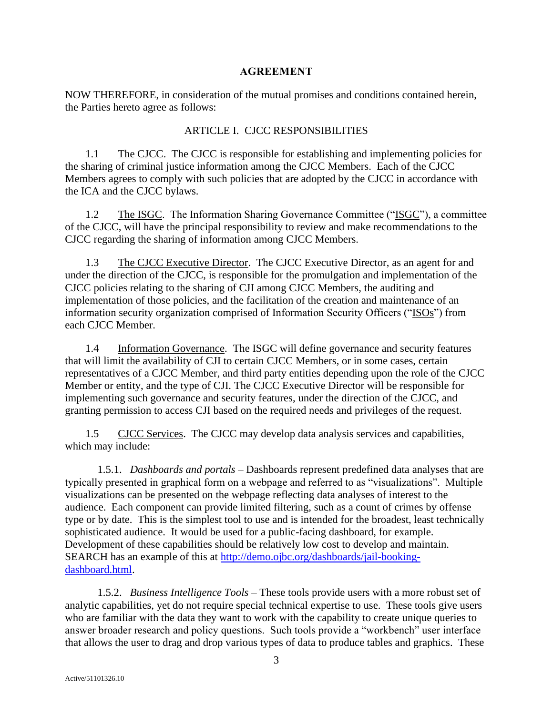## **AGREEMENT**

NOW THEREFORE, in consideration of the mutual promises and conditions contained herein, the Parties hereto agree as follows:

# ARTICLE I. CJCC RESPONSIBILITIES

1.1 The CJCC. The CJCC is responsible for establishing and implementing policies for the sharing of criminal justice information among the CJCC Members. Each of the CJCC Members agrees to comply with such policies that are adopted by the CJCC in accordance with the ICA and the CJCC bylaws.

1.2 The ISGC. The Information Sharing Governance Committee ("ISGC"), a committee of the CJCC, will have the principal responsibility to review and make recommendations to the CJCC regarding the sharing of information among CJCC Members.

1.3 The CJCC Executive Director. The CJCC Executive Director, as an agent for and under the direction of the CJCC, is responsible for the promulgation and implementation of the CJCC policies relating to the sharing of CJI among CJCC Members, the auditing and implementation of those policies, and the facilitation of the creation and maintenance of an information security organization comprised of Information Security Officers ("ISOs") from each CJCC Member.

1.4 Information Governance. The ISGC will define governance and security features that will limit the availability of CJI to certain CJCC Members, or in some cases, certain representatives of a CJCC Member, and third party entities depending upon the role of the CJCC Member or entity, and the type of CJI. The CJCC Executive Director will be responsible for implementing such governance and security features, under the direction of the CJCC, and granting permission to access CJI based on the required needs and privileges of the request.

1.5 CJCC Services. The CJCC may develop data analysis services and capabilities, which may include:

1.5.1. *Dashboards and portals* – Dashboards represent predefined data analyses that are typically presented in graphical form on a webpage and referred to as "visualizations". Multiple visualizations can be presented on the webpage reflecting data analyses of interest to the audience. Each component can provide limited filtering, such as a count of crimes by offense type or by date. This is the simplest tool to use and is intended for the broadest, least technically sophisticated audience. It would be used for a public-facing dashboard, for example. Development of these capabilities should be relatively low cost to develop and maintain. SEARCH has an example of this at [http://demo.ojbc.org/dashboards/jail-booking](http://demo.ojbc.org/dashboards/jail-booking-dashboard.html)[dashboard.html.](http://demo.ojbc.org/dashboards/jail-booking-dashboard.html)

1.5.2. *Business Intelligence Tools* – These tools provide users with a more robust set of analytic capabilities, yet do not require special technical expertise to use. These tools give users who are familiar with the data they want to work with the capability to create unique queries to answer broader research and policy questions. Such tools provide a "workbench" user interface that allows the user to drag and drop various types of data to produce tables and graphics. These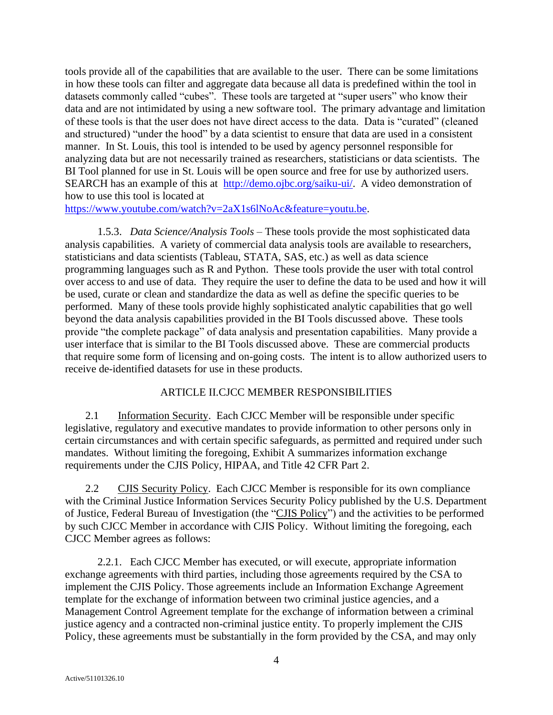tools provide all of the capabilities that are available to the user. There can be some limitations in how these tools can filter and aggregate data because all data is predefined within the tool in datasets commonly called "cubes". These tools are targeted at "super users" who know their data and are not intimidated by using a new software tool. The primary advantage and limitation of these tools is that the user does not have direct access to the data. Data is "curated" (cleaned and structured) "under the hood" by a data scientist to ensure that data are used in a consistent manner. In St. Louis, this tool is intended to be used by agency personnel responsible for analyzing data but are not necessarily trained as researchers, statisticians or data scientists. The BI Tool planned for use in St. Louis will be open source and free for use by authorized users. SEARCH has an example of this at [http://demo.ojbc.org/saiku-ui/.](http://demo.ojbc.org/saiku-ui/) A video demonstration of how to use this tool is located at

[https://www.youtube.com/watch?v=2aX1s6lNoAc&feature=youtu.be.](https://www.youtube.com/watch?v=2aX1s6lNoAc&feature=youtu.be)

1.5.3. *Data Science/Analysis Tools* – These tools provide the most sophisticated data analysis capabilities. A variety of commercial data analysis tools are available to researchers, statisticians and data scientists (Tableau, STATA, SAS, etc.) as well as data science programming languages such as R and Python. These tools provide the user with total control over access to and use of data. They require the user to define the data to be used and how it will be used, curate or clean and standardize the data as well as define the specific queries to be performed. Many of these tools provide highly sophisticated analytic capabilities that go well beyond the data analysis capabilities provided in the BI Tools discussed above. These tools provide "the complete package" of data analysis and presentation capabilities. Many provide a user interface that is similar to the BI Tools discussed above. These are commercial products that require some form of licensing and on-going costs. The intent is to allow authorized users to receive de-identified datasets for use in these products.

## ARTICLE II.CJCC MEMBER RESPONSIBILITIES

2.1 Information Security. Each CJCC Member will be responsible under specific legislative, regulatory and executive mandates to provide information to other persons only in certain circumstances and with certain specific safeguards, as permitted and required under such mandates. Without limiting the foregoing, Exhibit A summarizes information exchange requirements under the CJIS Policy, HIPAA, and Title 42 CFR Part 2.

2.2 CJIS Security Policy. Each CJCC Member is responsible for its own compliance with the Criminal Justice Information Services Security Policy published by the U.S. Department of Justice, Federal Bureau of Investigation (the "CJIS Policy") and the activities to be performed by such CJCC Member in accordance with CJIS Policy. Without limiting the foregoing, each CJCC Member agrees as follows:

2.2.1. Each CJCC Member has executed, or will execute, appropriate information exchange agreements with third parties, including those agreements required by the CSA to implement the CJIS Policy. Those agreements include an Information Exchange Agreement template for the exchange of information between two criminal justice agencies, and a Management Control Agreement template for the exchange of information between a criminal justice agency and a contracted non-criminal justice entity. To properly implement the CJIS Policy, these agreements must be substantially in the form provided by the CSA, and may only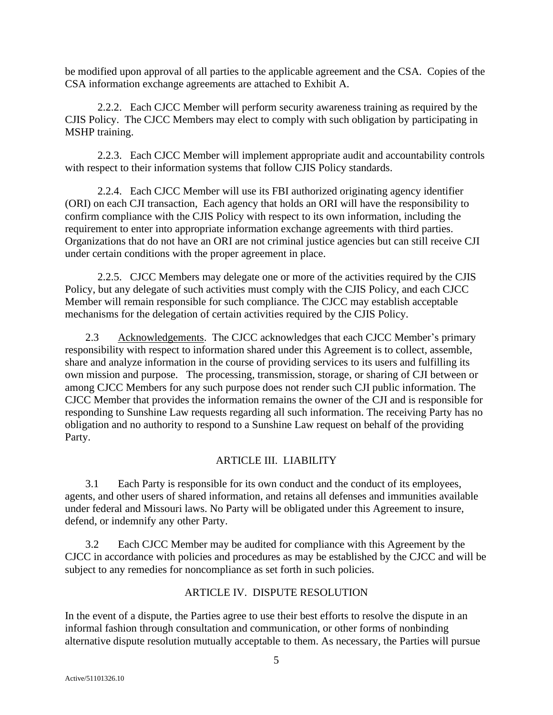be modified upon approval of all parties to the applicable agreement and the CSA. Copies of the CSA information exchange agreements are attached to Exhibit A.

2.2.2. Each CJCC Member will perform security awareness training as required by the CJIS Policy. The CJCC Members may elect to comply with such obligation by participating in MSHP training.

2.2.3. Each CJCC Member will implement appropriate audit and accountability controls with respect to their information systems that follow CJIS Policy standards.

2.2.4. Each CJCC Member will use its FBI authorized originating agency identifier (ORI) on each CJI transaction, Each agency that holds an ORI will have the responsibility to confirm compliance with the CJIS Policy with respect to its own information, including the requirement to enter into appropriate information exchange agreements with third parties. Organizations that do not have an ORI are not criminal justice agencies but can still receive CJI under certain conditions with the proper agreement in place.

2.2.5. CJCC Members may delegate one or more of the activities required by the CJIS Policy, but any delegate of such activities must comply with the CJIS Policy, and each CJCC Member will remain responsible for such compliance. The CJCC may establish acceptable mechanisms for the delegation of certain activities required by the CJIS Policy.

2.3 Acknowledgements. The CJCC acknowledges that each CJCC Member's primary responsibility with respect to information shared under this Agreement is to collect, assemble, share and analyze information in the course of providing services to its users and fulfilling its own mission and purpose. The processing, transmission, storage, or sharing of CJI between or among CJCC Members for any such purpose does not render such CJI public information. The CJCC Member that provides the information remains the owner of the CJI and is responsible for responding to Sunshine Law requests regarding all such information. The receiving Party has no obligation and no authority to respond to a Sunshine Law request on behalf of the providing Party.

# ARTICLE III. LIABILITY

3.1 Each Party is responsible for its own conduct and the conduct of its employees, agents, and other users of shared information, and retains all defenses and immunities available under federal and Missouri laws. No Party will be obligated under this Agreement to insure, defend, or indemnify any other Party.

3.2 Each CJCC Member may be audited for compliance with this Agreement by the CJCC in accordance with policies and procedures as may be established by the CJCC and will be subject to any remedies for noncompliance as set forth in such policies.

# ARTICLE IV. DISPUTE RESOLUTION

In the event of a dispute, the Parties agree to use their best efforts to resolve the dispute in an informal fashion through consultation and communication, or other forms of nonbinding alternative dispute resolution mutually acceptable to them. As necessary, the Parties will pursue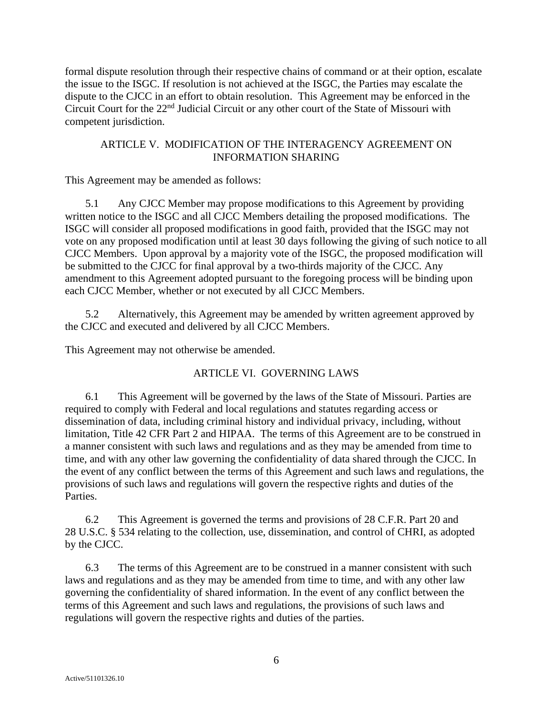formal dispute resolution through their respective chains of command or at their option, escalate the issue to the ISGC. If resolution is not achieved at the ISGC, the Parties may escalate the dispute to the CJCC in an effort to obtain resolution. This Agreement may be enforced in the Circuit Court for the 22nd Judicial Circuit or any other court of the State of Missouri with competent jurisdiction.

## ARTICLE V. MODIFICATION OF THE INTERAGENCY AGREEMENT ON INFORMATION SHARING

This Agreement may be amended as follows:

5.1 Any CJCC Member may propose modifications to this Agreement by providing written notice to the ISGC and all CJCC Members detailing the proposed modifications. The ISGC will consider all proposed modifications in good faith, provided that the ISGC may not vote on any proposed modification until at least 30 days following the giving of such notice to all CJCC Members. Upon approval by a majority vote of the ISGC, the proposed modification will be submitted to the CJCC for final approval by a two-thirds majority of the CJCC. Any amendment to this Agreement adopted pursuant to the foregoing process will be binding upon each CJCC Member, whether or not executed by all CJCC Members.

5.2 Alternatively, this Agreement may be amended by written agreement approved by the CJCC and executed and delivered by all CJCC Members.

This Agreement may not otherwise be amended.

# ARTICLE VI. GOVERNING LAWS

6.1 This Agreement will be governed by the laws of the State of Missouri. Parties are required to comply with Federal and local regulations and statutes regarding access or dissemination of data, including criminal history and individual privacy, including, without limitation, Title 42 CFR Part 2 and HIPAA. The terms of this Agreement are to be construed in a manner consistent with such laws and regulations and as they may be amended from time to time, and with any other law governing the confidentiality of data shared through the CJCC. In the event of any conflict between the terms of this Agreement and such laws and regulations, the provisions of such laws and regulations will govern the respective rights and duties of the Parties.

6.2 This Agreement is governed the terms and provisions of 28 C.F.R. Part 20 and 28 U.S.C. § 534 relating to the collection, use, dissemination, and control of CHRI, as adopted by the CJCC.

6.3 The terms of this Agreement are to be construed in a manner consistent with such laws and regulations and as they may be amended from time to time, and with any other law governing the confidentiality of shared information. In the event of any conflict between the terms of this Agreement and such laws and regulations, the provisions of such laws and regulations will govern the respective rights and duties of the parties.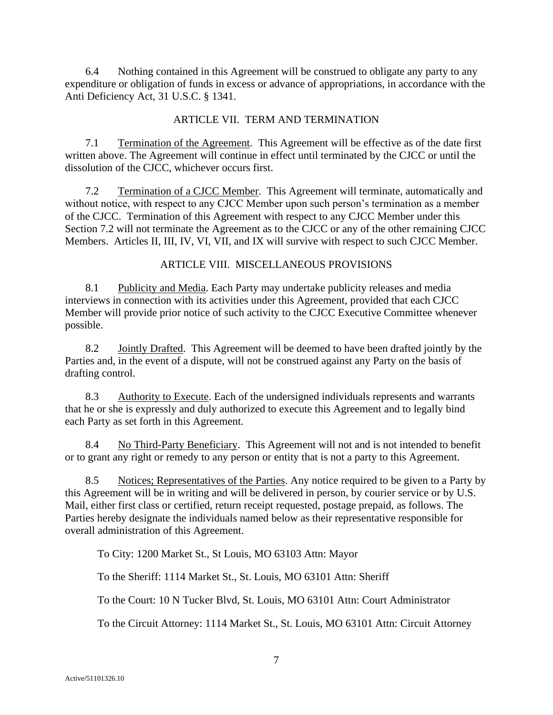6.4 Nothing contained in this Agreement will be construed to obligate any party to any expenditure or obligation of funds in excess or advance of appropriations, in accordance with the Anti Deficiency Act, 31 U.S.C. § 1341.

## ARTICLE VII. TERM AND TERMINATION

7.1 Termination of the Agreement. This Agreement will be effective as of the date first written above. The Agreement will continue in effect until terminated by the CJCC or until the dissolution of the CJCC, whichever occurs first.

7.2 Termination of a CJCC Member. This Agreement will terminate, automatically and without notice, with respect to any CJCC Member upon such person's termination as a member of the CJCC. Termination of this Agreement with respect to any CJCC Member under this Section 7.2 will not terminate the Agreement as to the CJCC or any of the other remaining CJCC Members. Articles II, III, IV, VI, VII, and IX will survive with respect to such CJCC Member.

## ARTICLE VIII. MISCELLANEOUS PROVISIONS

8.1 Publicity and Media. Each Party may undertake publicity releases and media interviews in connection with its activities under this Agreement, provided that each CJCC Member will provide prior notice of such activity to the CJCC Executive Committee whenever possible.

8.2 Jointly Drafted. This Agreement will be deemed to have been drafted jointly by the Parties and, in the event of a dispute, will not be construed against any Party on the basis of drafting control.

8.3 Authority to Execute. Each of the undersigned individuals represents and warrants that he or she is expressly and duly authorized to execute this Agreement and to legally bind each Party as set forth in this Agreement.

8.4 No Third-Party Beneficiary. This Agreement will not and is not intended to benefit or to grant any right or remedy to any person or entity that is not a party to this Agreement.

8.5 Notices; Representatives of the Parties. Any notice required to be given to a Party by this Agreement will be in writing and will be delivered in person, by courier service or by U.S. Mail, either first class or certified, return receipt requested, postage prepaid, as follows. The Parties hereby designate the individuals named below as their representative responsible for overall administration of this Agreement.

To City: 1200 Market St., St Louis, MO 63103 Attn: Mayor

To the Sheriff: 1114 Market St., St. Louis, MO 63101 Attn: Sheriff

To the Court: 10 N Tucker Blvd, St. Louis, MO 63101 Attn: Court Administrator

To the Circuit Attorney: 1114 Market St., St. Louis, MO 63101 Attn: Circuit Attorney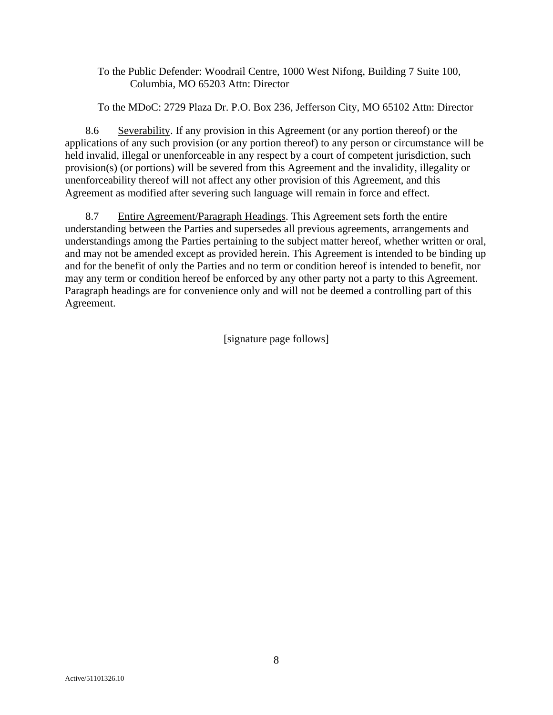To the Public Defender: Woodrail Centre, 1000 West Nifong, Building 7 Suite 100, Columbia, MO 65203 Attn: Director

To the MDoC: 2729 Plaza Dr. P.O. Box 236, Jefferson City, MO 65102 Attn: Director

8.6 Severability. If any provision in this Agreement (or any portion thereof) or the applications of any such provision (or any portion thereof) to any person or circumstance will be held invalid, illegal or unenforceable in any respect by a court of competent jurisdiction, such provision(s) (or portions) will be severed from this Agreement and the invalidity, illegality or unenforceability thereof will not affect any other provision of this Agreement, and this Agreement as modified after severing such language will remain in force and effect.

8.7 Entire Agreement/Paragraph Headings. This Agreement sets forth the entire understanding between the Parties and supersedes all previous agreements, arrangements and understandings among the Parties pertaining to the subject matter hereof, whether written or oral, and may not be amended except as provided herein. This Agreement is intended to be binding up and for the benefit of only the Parties and no term or condition hereof is intended to benefit, nor may any term or condition hereof be enforced by any other party not a party to this Agreement. Paragraph headings are for convenience only and will not be deemed a controlling part of this Agreement.

[signature page follows]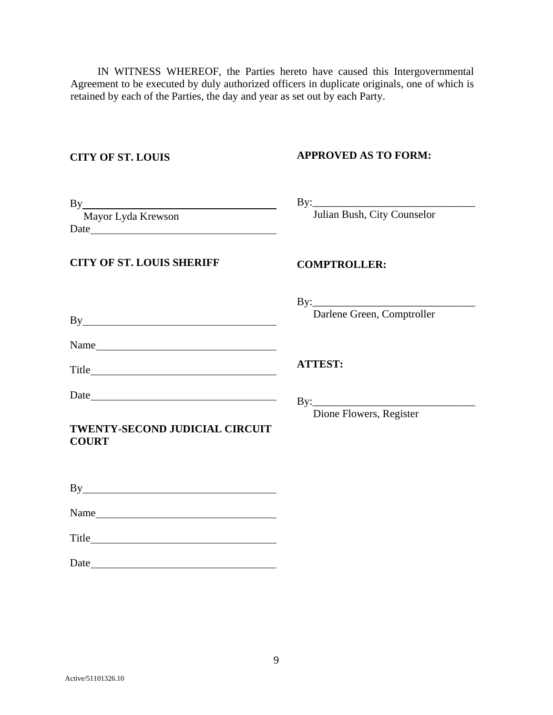IN WITNESS WHEREOF, the Parties hereto have caused this Intergovernmental Agreement to be executed by duly authorized officers in duplicate originals, one of which is retained by each of the Parties, the day and year as set out by each Party.

## **CITY OF ST. LOUIS**

## **APPROVED AS TO FORM:**

Julian Bush, City Counselor

By:\_\_\_\_\_\_\_\_\_\_\_\_\_\_\_\_\_\_\_\_\_\_\_\_\_\_\_\_\_\_

| By                 |  |
|--------------------|--|
| Mayor Lyda Krewson |  |
| Date               |  |

## **CITY OF ST. LOUIS SHERIFF**

## **COMPTROLLER:**

 $\mathbf{By:}\qquad\qquad$ 

Darlene Green, Comptroller

| Name |  |
|------|--|
|      |  |

Title

**ATTEST:**

By:\_\_\_\_\_\_\_\_\_\_\_\_\_\_\_\_\_\_\_\_\_\_\_\_\_\_\_\_\_\_ Dione Flowers, Register

## **TWENTY-SECOND JUDICIAL CIRCUIT COURT**

By **Example 2018** 

Name

Title

Date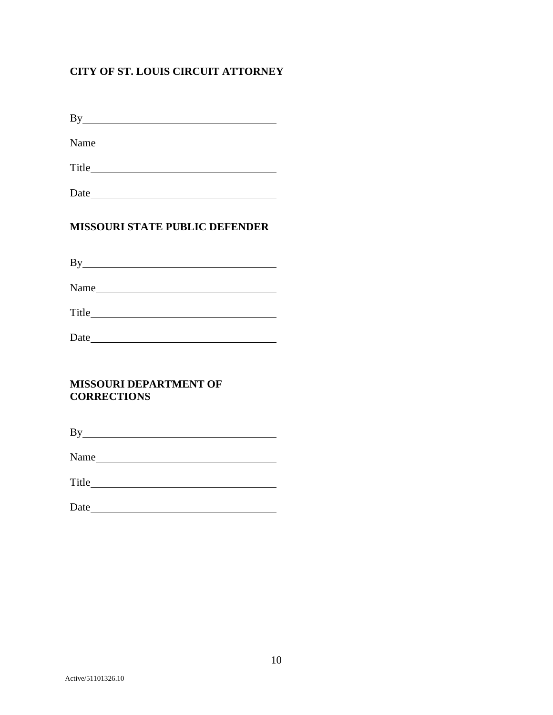# **CITY OF ST. LOUIS CIRCUIT ATTORNEY**

By

Name and the state of the state of the state of the state of the state of the state of the state of the state of the state of the state of the state of the state of the state of the state of the state of the state of the s

Title **The Community of the Community** of the Community of the Community of the Community of the Community of the Community of the Community of the Community of the Community of the Community of the Community of the Commun

Date

# **MISSOURI STATE PUBLIC DEFENDER**

By <u>service</u> and the service of the service of the service of the service of the service of the service of the service of the service of the service of the service of the service of the service of the service of the servic

Name

Title

Date **Date Date Date Date Date Date Date Date D** 

# **MISSOURI DEPARTMENT OF CORRECTIONS**

By

Name was a set of the set of the set of the set of the set of the set of the set of the set of the set of the set of the set of the set of the set of the set of the set of the set of the set of the set of the set of the se

Title **The Community of the Community** of the Community of the Community of the Community of the Community of the Community of the Community of the Community of the Community of the Community of the Community of the Commun

Date and the set of the set of the set of the set of the set of the set of the set of the set of the set of the set of the set of the set of the set of the set of the set of the set of the set of the set of the set of the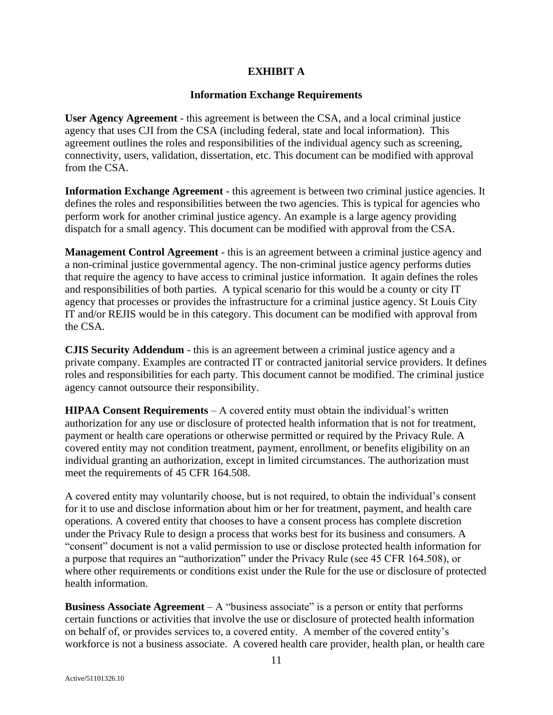# **EXHIBIT A**

## **Information Exchange Requirements**

**User Agency Agreement** - this agreement is between the CSA, and a local criminal justice agency that uses CJI from the CSA (including federal, state and local information). This agreement outlines the roles and responsibilities of the individual agency such as screening, connectivity, users, validation, dissertation, etc. This document can be modified with approval from the CSA.

**Information Exchange Agreement** - this agreement is between two criminal justice agencies. It defines the roles and responsibilities between the two agencies. This is typical for agencies who perform work for another criminal justice agency. An example is a large agency providing dispatch for a small agency. This document can be modified with approval from the CSA.

**Management Control Agreement** - this is an agreement between a criminal justice agency and a non-criminal justice governmental agency. The non-criminal justice agency performs duties that require the agency to have access to criminal justice information. It again defines the roles and responsibilities of both parties. A typical scenario for this would be a county or city IT agency that processes or provides the infrastructure for a criminal justice agency. St Louis City IT and/or REJIS would be in this category. This document can be modified with approval from the CSA.

**CJIS Security Addendum** - this is an agreement between a criminal justice agency and a private company. Examples are contracted IT or contracted janitorial service providers. It defines roles and responsibilities for each party. This document cannot be modified. The criminal justice agency cannot outsource their responsibility.

**HIPAA Consent Requirements** – A covered entity must obtain the individual's written authorization for any use or disclosure of protected health information that is not for treatment, payment or health care operations or otherwise permitted or required by the Privacy Rule. A covered entity may not condition treatment, payment, enrollment, or benefits eligibility on an individual granting an authorization, except in limited circumstances. The authorization must meet the requirements of 45 CFR 164.508.

A covered entity may voluntarily choose, but is not required, to obtain the individual's consent for it to use and disclose information about him or her for treatment, payment, and health care operations. A covered entity that chooses to have a consent process has complete discretion under the Privacy Rule to design a process that works best for its business and consumers. A "consent" document is not a valid permission to use or disclose protected health information for a purpose that requires an "authorization" under the Privacy Rule (see 45 CFR 164.508), or where other requirements or conditions exist under the Rule for the use or disclosure of protected health information.

**Business Associate Agreement** – A "business associate" is a person or entity that performs certain functions or activities that involve the use or disclosure of protected health information on behalf of, or provides services to, a covered entity. A member of the covered entity's workforce is not a business associate. A covered health care provider, health plan, or health care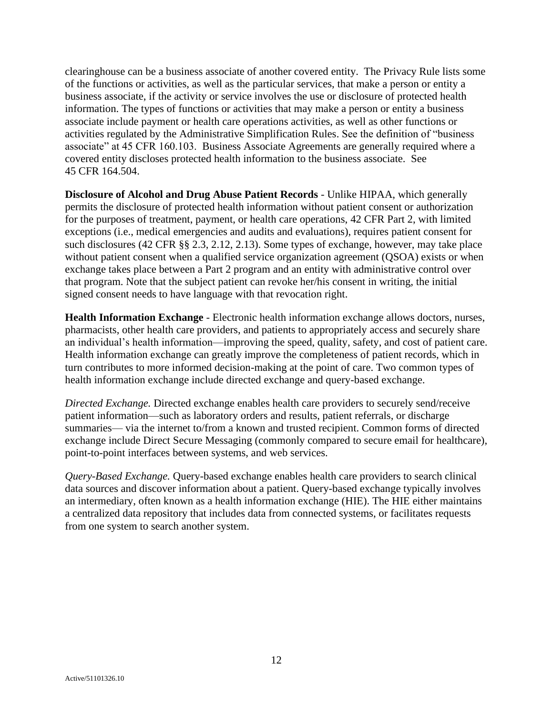clearinghouse can be a business associate of another covered entity. The Privacy Rule lists some of the functions or activities, as well as the particular services, that make a person or entity a business associate, if the activity or service involves the use or disclosure of protected health information. The types of functions or activities that may make a person or entity a business associate include payment or health care operations activities, as well as other functions or activities regulated by the Administrative Simplification Rules. See the definition of "business associate" at 45 CFR 160.103. Business Associate Agreements are generally required where a covered entity discloses protected health information to the business associate. See 45 CFR 164.504.

**Disclosure of Alcohol and Drug Abuse Patient Records** - Unlike HIPAA, which generally permits the disclosure of protected health information without patient consent or authorization for the purposes of treatment, payment, or health care operations, 42 CFR Part 2, with limited exceptions (i.e., medical emergencies and audits and evaluations), requires patient consent for such disclosures (42 CFR §§ 2.3, 2.12, 2.13). Some types of exchange, however, may take place without patient consent when a qualified service organization agreement (QSOA) exists or when exchange takes place between a Part 2 program and an entity with administrative control over that program. Note that the subject patient can revoke her/his consent in writing, the initial signed consent needs to have language with that revocation right.

**Health Information Exchange** - Electronic health information exchange allows doctors, nurses, pharmacists, other health care providers, and patients to appropriately access and securely share an individual's health information—improving the speed, quality, safety, and cost of patient care. Health information exchange can greatly improve the completeness of patient records, which in turn contributes to more informed decision-making at the point of care. Two common types of health information exchange include directed exchange and query-based exchange.

*Directed Exchange.* Directed exchange enables health care providers to securely send/receive patient information—such as laboratory orders and results, patient referrals, or discharge summaries— via the internet to/from a known and trusted recipient. Common forms of directed exchange include Direct Secure Messaging (commonly compared to secure email for healthcare), point-to-point interfaces between systems, and web services.

*Query-Based Exchange.* Query-based exchange enables health care providers to search clinical data sources and discover information about a patient. Query-based exchange typically involves an intermediary, often known as a health information exchange (HIE). The HIE either maintains a centralized data repository that includes data from connected systems, or facilitates requests from one system to search another system.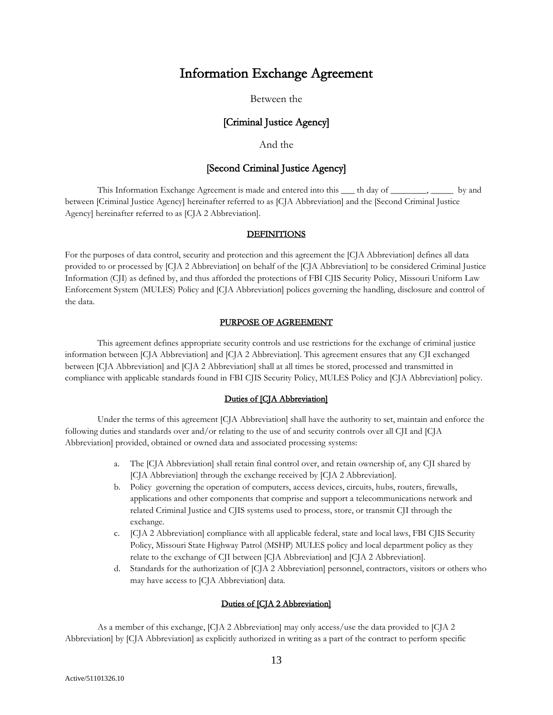# Information Exchange Agreement

## Between the

## [Criminal Justice Agency]

## And the

## [Second Criminal Justice Agency]

This Information Exchange Agreement is made and entered into this  $\quad$  th day of  $\quad \quad$ ,  $\quad \quad$  by and between [Criminal Justice Agency] hereinafter referred to as [CJA Abbreviation] and the [Second Criminal Justice Agency] hereinafter referred to as [CJA 2 Abbreviation].

### **DEFINITIONS**

For the purposes of data control, security and protection and this agreement the [CJA Abbreviation] defines all data provided to or processed by [CJA 2 Abbreviation] on behalf of the [CJA Abbreviation] to be considered Criminal Justice Information (CJI) as defined by, and thus afforded the protections of FBI CJIS Security Policy, Missouri Uniform Law Enforcement System (MULES) Policy and [CJA Abbreviation] polices governing the handling, disclosure and control of the data.

### PURPOSE OF AGREEMENT

This agreement defines appropriate security controls and use restrictions for the exchange of criminal justice information between [CJA Abbreviation] and [CJA 2 Abbreviation]. This agreement ensures that any CJI exchanged between [CJA Abbreviation] and [CJA 2 Abbreviation] shall at all times be stored, processed and transmitted in compliance with applicable standards found in FBI CJIS Security Policy, MULES Policy and [CJA Abbreviation] policy.

### Duties of [CJA Abbreviation]

Under the terms of this agreement [CJA Abbreviation] shall have the authority to set, maintain and enforce the following duties and standards over and/or relating to the use of and security controls over all CJI and [CJA Abbreviation] provided, obtained or owned data and associated processing systems:

- a. The [CJA Abbreviation] shall retain final control over, and retain ownership of, any CJI shared by [CJA Abbreviation] through the exchange received by [CJA 2 Abbreviation].
- b. Policy governing the operation of computers, access devices, circuits, hubs, routers, firewalls, applications and other components that comprise and support a telecommunications network and related Criminal Justice and CJIS systems used to process, store, or transmit CJI through the exchange.
- c. [CJA 2 Abbreviation] compliance with all applicable federal, state and local laws, FBI CJIS Security Policy, Missouri State Highway Patrol (MSHP) MULES policy and local department policy as they relate to the exchange of CJI between [CJA Abbreviation] and [CJA 2 Abbreviation].
- d. Standards for the authorization of [CJA 2 Abbreviation] personnel, contractors, visitors or others who may have access to [CJA Abbreviation] data.

### Duties of [CJA 2 Abbreviation]

As a member of this exchange, [CJA 2 Abbreviation] may only access/use the data provided to [CJA 2 Abbreviation] by [CJA Abbreviation] as explicitly authorized in writing as a part of the contract to perform specific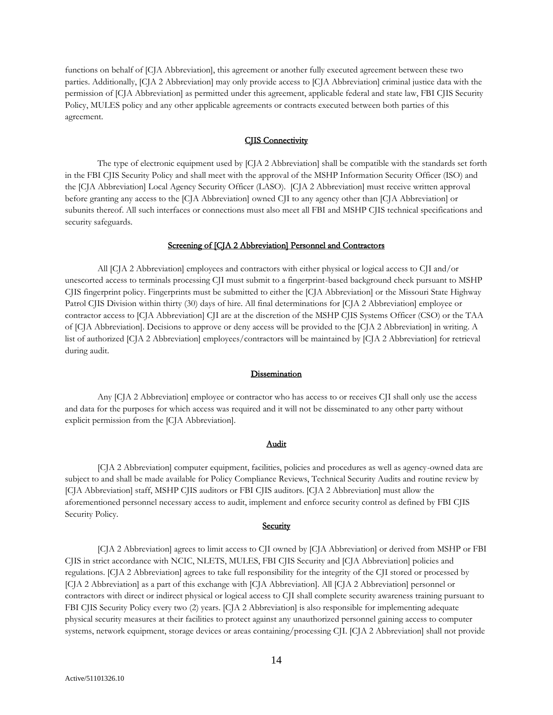functions on behalf of [CJA Abbreviation], this agreement or another fully executed agreement between these two parties. Additionally, [CJA 2 Abbreviation] may only provide access to [CJA Abbreviation] criminal justice data with the permission of [CJA Abbreviation] as permitted under this agreement, applicable federal and state law, FBI CJIS Security Policy, MULES policy and any other applicable agreements or contracts executed between both parties of this agreement.

### CJIS Connectivity

The type of electronic equipment used by [CJA 2 Abbreviation] shall be compatible with the standards set forth in the FBI CJIS Security Policy and shall meet with the approval of the MSHP Information Security Officer (ISO) and the [CJA Abbreviation] Local Agency Security Officer (LASO). [CJA 2 Abbreviation] must receive written approval before granting any access to the [CJA Abbreviation] owned CJI to any agency other than [CJA Abbreviation] or subunits thereof. All such interfaces or connections must also meet all FBI and MSHP CJIS technical specifications and security safeguards.

### Screening of [CJA 2 Abbreviation] Personnel and Contractors

All [CJA 2 Abbreviation] employees and contractors with either physical or logical access to CJI and/or unescorted access to terminals processing CJI must submit to a fingerprint-based background check pursuant to MSHP CJIS fingerprint policy. Fingerprints must be submitted to either the [CJA Abbreviation] or the Missouri State Highway Patrol CJIS Division within thirty (30) days of hire. All final determinations for [CJA 2 Abbreviation] employee or contractor access to [CJA Abbreviation] CJI are at the discretion of the MSHP CJIS Systems Officer (CSO) or the TAA of [CJA Abbreviation]. Decisions to approve or deny access will be provided to the [CJA 2 Abbreviation] in writing. A list of authorized [CJA 2 Abbreviation] employees/contractors will be maintained by [CJA 2 Abbreviation] for retrieval during audit.

#### Dissemination

Any [CJA 2 Abbreviation] employee or contractor who has access to or receives CJI shall only use the access and data for the purposes for which access was required and it will not be disseminated to any other party without explicit permission from the [CJA Abbreviation].

### Audit

[CJA 2 Abbreviation] computer equipment, facilities, policies and procedures as well as agency-owned data are subject to and shall be made available for Policy Compliance Reviews, Technical Security Audits and routine review by [CJA Abbreviation] staff, MSHP CJIS auditors or FBI CJIS auditors. [CJA 2 Abbreviation] must allow the aforementioned personnel necessary access to audit, implement and enforce security control as defined by FBI CJIS Security Policy.

### **Security**

[CJA 2 Abbreviation] agrees to limit access to CJI owned by [CJA Abbreviation] or derived from MSHP or FBI CJIS in strict accordance with NCIC, NLETS, MULES, FBI CJIS Security and [CJA Abbreviation] policies and regulations. [CJA 2 Abbreviation] agrees to take full responsibility for the integrity of the CJI stored or processed by [CJA 2 Abbreviation] as a part of this exchange with [CJA Abbreviation]. All [CJA 2 Abbreviation] personnel or contractors with direct or indirect physical or logical access to CJI shall complete security awareness training pursuant to FBI CJIS Security Policy every two (2) years. [CJA 2 Abbreviation] is also responsible for implementing adequate physical security measures at their facilities to protect against any unauthorized personnel gaining access to computer systems, network equipment, storage devices or areas containing/processing CJI. [CJA 2 Abbreviation] shall not provide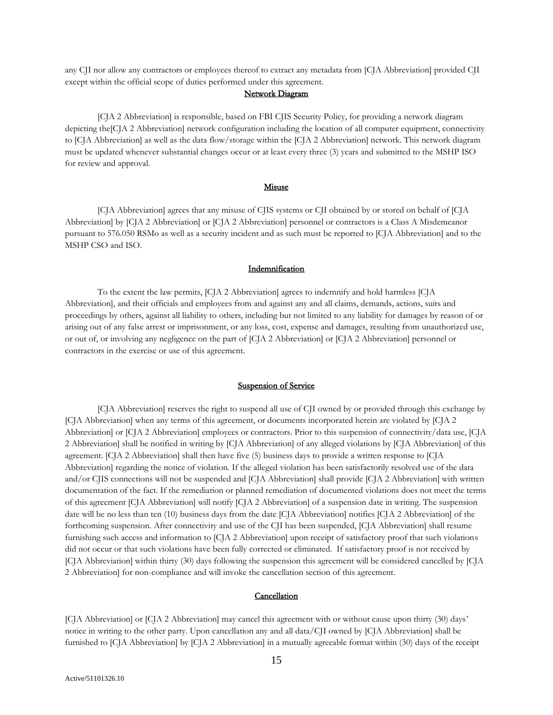any CJI nor allow any contractors or employees thereof to extract any metadata from [CJA Abbreviation] provided CJI except within the official scope of duties performed under this agreement.

### Network Diagram

[CJA 2 Abbreviation] is responsible, based on FBI CJIS Security Policy, for providing a network diagram depicting the CJA 2 Abbreviation] network configuration including the location of all computer equipment, connectivity to [CJA Abbreviation] as well as the data flow/storage within the [CJA 2 Abbreviation] network. This network diagram must be updated whenever substantial changes occur or at least every three (3) years and submitted to the MSHP ISO for review and approval.

#### **Misuse**

[CJA Abbreviation] agrees that any misuse of CJIS systems or CJI obtained by or stored on behalf of [CJA Abbreviation] by [CJA 2 Abbreviation] or [CJA 2 Abbreviation] personnel or contractors is a Class A Misdemeanor pursuant to 576.050 RSMo as well as a security incident and as such must be reported to [CJA Abbreviation] and to the MSHP CSO and ISO.

### Indemnification

To the extent the law permits, [CJA 2 Abbreviation] agrees to indemnify and hold harmless [CJA Abbreviation], and their officials and employees from and against any and all claims, demands, actions, suits and proceedings by others, against all liability to others, including but not limited to any liability for damages by reason of or arising out of any false arrest or imprisonment, or any loss, cost, expense and damages, resulting from unauthorized use, or out of, or involving any negligence on the part of [CJA 2 Abbreviation] or [CJA 2 Abbreviation] personnel or contractors in the exercise or use of this agreement.

#### Suspension of Service

[CJA Abbreviation] reserves the right to suspend all use of CJI owned by or provided through this exchange by [CJA Abbreviation] when any terms of this agreement, or documents incorporated herein are violated by [CJA 2 Abbreviation] or [CJA 2 Abbreviation] employees or contractors. Prior to this suspension of connectivity/data use, [CJA 2 Abbreviation] shall be notified in writing by [CJA Abbreviation] of any alleged violations by [CJA Abbreviation] of this agreement. [CJA 2 Abbreviation] shall then have five (5) business days to provide a written response to [CJA Abbreviation] regarding the notice of violation. If the alleged violation has been satisfactorily resolved use of the data and/or CJIS connections will not be suspended and [CJA Abbreviation] shall provide [CJA 2 Abbreviation] with written documentation of the fact. If the remediation or planned remediation of documented violations does not meet the terms of this agreement [CJA Abbreviation] will notify [CJA 2 Abbreviation] of a suspension date in writing. The suspension date will be no less than ten (10) business days from the date [CJA Abbreviation] notifies [CJA 2 Abbreviation] of the forthcoming suspension. After connectivity and use of the CJI has been suspended, [CJA Abbreviation] shall resume furnishing such access and information to [CJA 2 Abbreviation] upon receipt of satisfactory proof that such violations did not occur or that such violations have been fully corrected or eliminated. If satisfactory proof is not received by [CJA Abbreviation] within thirty (30) days following the suspension this agreement will be considered cancelled by [CJA 2 Abbreviation] for non-compliance and will invoke the cancellation section of this agreement.

### Cancellation

[CJA Abbreviation] or [CJA 2 Abbreviation] may cancel this agreement with or without cause upon thirty (30) days' notice in writing to the other party. Upon cancellation any and all data/CJI owned by [CJA Abbreviation] shall be furnished to [CJA Abbreviation] by [CJA 2 Abbreviation] in a mutually agreeable format within (30) days of the receipt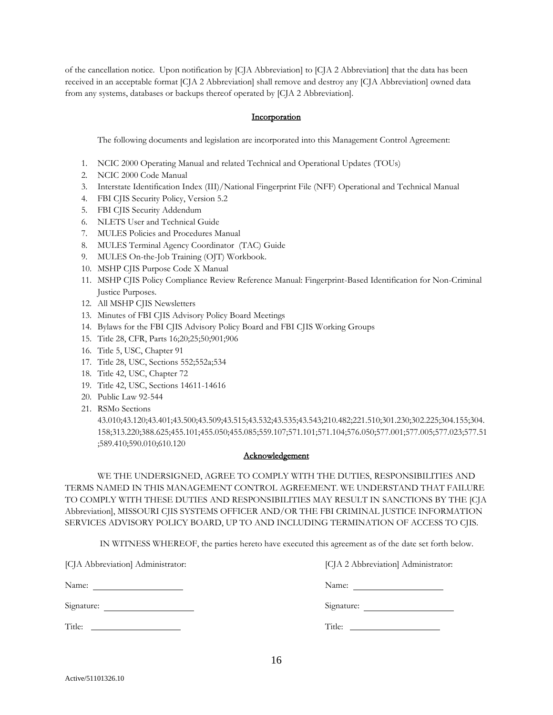of the cancellation notice. Upon notification by [CJA Abbreviation] to [CJA 2 Abbreviation] that the data has been received in an acceptable format [CJA 2 Abbreviation] shall remove and destroy any [CJA Abbreviation] owned data from any systems, databases or backups thereof operated by [CJA 2 Abbreviation].

### **Incorporation**

The following documents and legislation are incorporated into this Management Control Agreement:

- 1. NCIC 2000 Operating Manual and related Technical and Operational Updates (TOUs)
- 2. NCIC 2000 Code Manual
- 3. Interstate Identification Index (III)/National Fingerprint File (NFF) Operational and Technical Manual
- 4. FBI CJIS Security Policy, Version 5.2
- 5. FBI CJIS Security Addendum
- 6. NLETS User and Technical Guide
- 7. MULES Policies and Procedures Manual
- 8. MULES Terminal Agency Coordinator (TAC) Guide
- 9. MULES On-the-Job Training (OJT) Workbook.
- 10. MSHP CJIS Purpose Code X Manual
- 11. MSHP CJIS Policy Compliance Review Reference Manual: Fingerprint-Based Identification for Non-Criminal Justice Purposes.
- 12. All MSHP CJIS Newsletters
- 13. Minutes of FBI CJIS Advisory Policy Board Meetings
- 14. Bylaws for the FBI CJIS Advisory Policy Board and FBI CJIS Working Groups
- 15. Title 28, CFR, Parts 16;20;25;50;901;906
- 16. Title 5, USC, Chapter 91
- 17. Title 28, USC, Sections 552;552a;534
- 18. Title 42, USC, Chapter 72
- 19. Title 42, USC, Sections 14611-14616
- 20. Public Law 92-544
- 21. RSMo Sections

43.010;43.120;43.401;43.500;43.509;43.515;43.532;43.535;43.543;210.482;221.510;301.230;302.225;304.155;304. 158;313.220;388.625;455.101;455.050;455.085;559.107;571.101;571.104;576.050;577.001;577.005;577.023;577.51 ;589.410;590.010;610.120

### Acknowledgement

WE THE UNDERSIGNED, AGREE TO COMPLY WITH THE DUTIES, RESPONSIBILITIES AND TERMS NAMED IN THIS MANAGEMENT CONTROL AGREEMENT. WE UNDERSTAND THAT FAILURE TO COMPLY WITH THESE DUTIES AND RESPONSIBILITIES MAY RESULT IN SANCTIONS BY THE [CJA Abbreviation], MISSOURI CJIS SYSTEMS OFFICER AND/OR THE FBI CRIMINAL JUSTICE INFORMATION SERVICES ADVISORY POLICY BOARD, UP TO AND INCLUDING TERMINATION OF ACCESS TO CJIS.

IN WITNESS WHEREOF, the parties hereto have executed this agreement as of the date set forth below.

| [CJA Abbreviation] Administrator: | [CJA 2 Abbreviation] Administrator: |
|-----------------------------------|-------------------------------------|
| Name:                             |                                     |
| Signature:                        |                                     |
| Title:                            |                                     |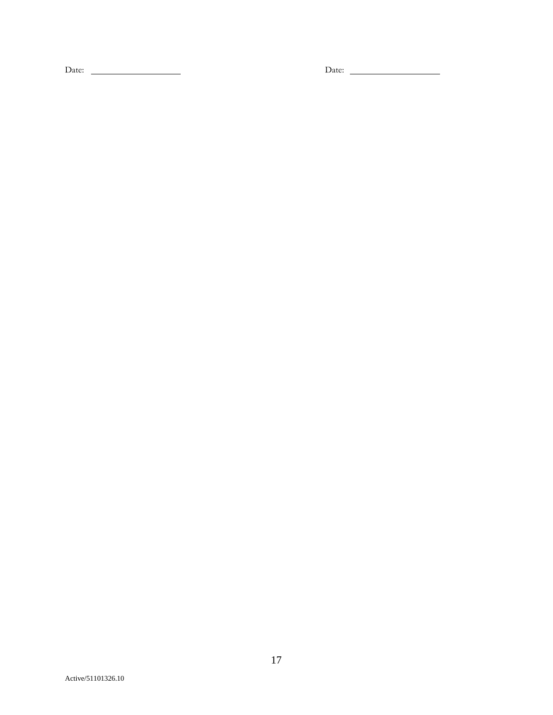Date: Date: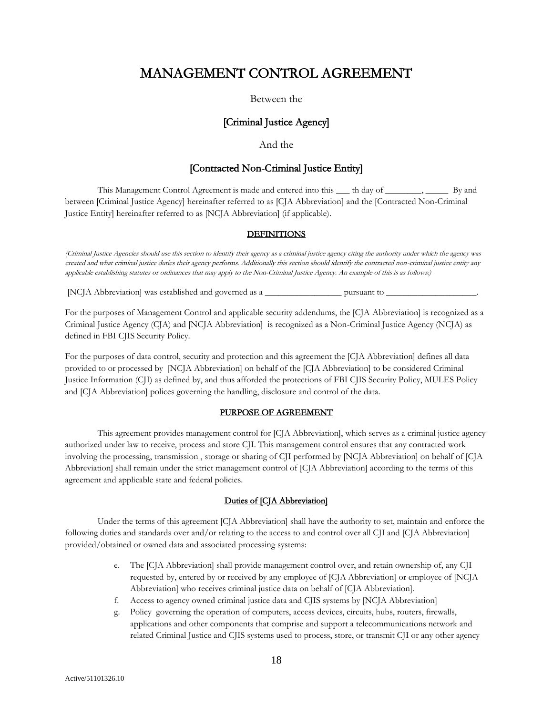# MANAGEMENT CONTROL AGREEMENT

### Between the

## [Criminal Justice Agency]

## And the

### [Contracted Non-Criminal Justice Entity]

This Management Control Agreement is made and entered into this \_\_\_\_ th day of \_\_\_\_\_\_\_\_, \_\_\_\_\_\_ By and between [Criminal Justice Agency] hereinafter referred to as [CJA Abbreviation] and the [Contracted Non-Criminal Justice Entity] hereinafter referred to as [NCJA Abbreviation] (if applicable).

### **DEFINITIONS**

(Criminal Justice Agencies should use this section to identify their agency as a criminal justice agency citing the authority under which the agency was created and what criminal justice duties their agency performs. Additionally this section should identify the contracted non-criminal justice entity any applicable establishing statutes or ordinances that may apply to the Non-Criminal Justice Agency. An example of this is as follows:)

[NCJA Abbreviation] was established and governed as a \_\_\_\_\_\_\_\_\_\_\_\_\_\_\_\_\_ pursuant to \_\_\_\_\_\_\_\_\_\_\_\_\_\_\_\_\_\_\_\_.

For the purposes of Management Control and applicable security addendums, the [CJA Abbreviation] is recognized as a Criminal Justice Agency (CJA) and [NCJA Abbreviation] is recognized as a Non-Criminal Justice Agency (NCJA) as defined in FBI CJIS Security Policy.

For the purposes of data control, security and protection and this agreement the [CJA Abbreviation] defines all data provided to or processed by [NCJA Abbreviation] on behalf of the [CJA Abbreviation] to be considered Criminal Justice Information (CJI) as defined by, and thus afforded the protections of FBI CJIS Security Policy, MULES Policy and [CJA Abbreviation] polices governing the handling, disclosure and control of the data.

### PURPOSE OF AGREEMENT

This agreement provides management control for [CJA Abbreviation], which serves as a criminal justice agency authorized under law to receive, process and store CJI. This management control ensures that any contracted work involving the processing, transmission , storage or sharing of CJI performed by [NCJA Abbreviation] on behalf of [CJA Abbreviation] shall remain under the strict management control of [CJA Abbreviation] according to the terms of this agreement and applicable state and federal policies.

### Duties of [CJA Abbreviation]

Under the terms of this agreement [CJA Abbreviation] shall have the authority to set, maintain and enforce the following duties and standards over and/or relating to the access to and control over all CJI and [CJA Abbreviation] provided/obtained or owned data and associated processing systems:

- e. The [CJA Abbreviation] shall provide management control over, and retain ownership of, any CJI requested by, entered by or received by any employee of [CJA Abbreviation] or employee of [NCJA Abbreviation] who receives criminal justice data on behalf of [CJA Abbreviation].
- f. Access to agency owned criminal justice data and CJIS systems by [NCJA Abbreviation]
- g. Policy governing the operation of computers, access devices, circuits, hubs, routers, firewalls, applications and other components that comprise and support a telecommunications network and related Criminal Justice and CJIS systems used to process, store, or transmit CJI or any other agency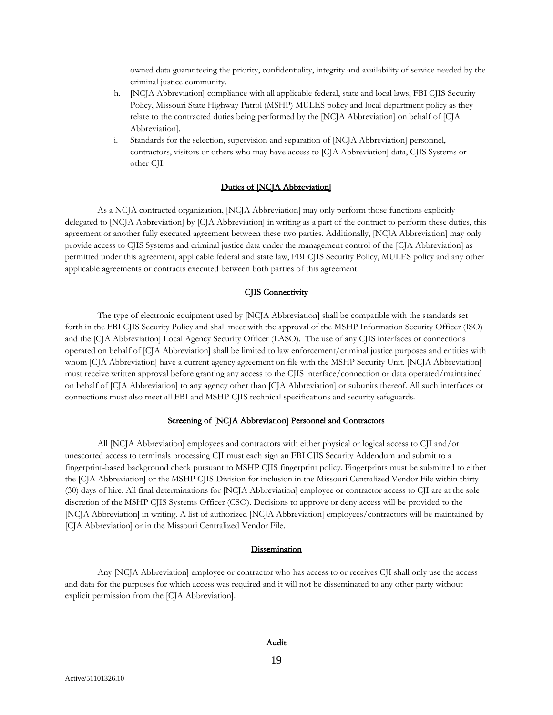owned data guaranteeing the priority, confidentiality, integrity and availability of service needed by the criminal justice community.

- h. [NCJA Abbreviation] compliance with all applicable federal, state and local laws, FBI CJIS Security Policy, Missouri State Highway Patrol (MSHP) MULES policy and local department policy as they relate to the contracted duties being performed by the [NCJA Abbreviation] on behalf of [CJA Abbreviation].
- i. Standards for the selection, supervision and separation of [NCJA Abbreviation] personnel, contractors, visitors or others who may have access to [CJA Abbreviation] data, CJIS Systems or other CJI.

### Duties of [NCJA Abbreviation]

As a NCJA contracted organization, [NCJA Abbreviation] may only perform those functions explicitly delegated to [NCJA Abbreviation] by [CJA Abbreviation] in writing as a part of the contract to perform these duties, this agreement or another fully executed agreement between these two parties. Additionally, [NCJA Abbreviation] may only provide access to CJIS Systems and criminal justice data under the management control of the [CJA Abbreviation] as permitted under this agreement, applicable federal and state law, FBI CJIS Security Policy, MULES policy and any other applicable agreements or contracts executed between both parties of this agreement.

### **CJIS Connectivity**

The type of electronic equipment used by [NCJA Abbreviation] shall be compatible with the standards set forth in the FBI CJIS Security Policy and shall meet with the approval of the MSHP Information Security Officer (ISO) and the [CJA Abbreviation] Local Agency Security Officer (LASO). The use of any CJIS interfaces or connections operated on behalf of [CJA Abbreviation] shall be limited to law enforcement/criminal justice purposes and entities with whom [CJA Abbreviation] have a current agency agreement on file with the MSHP Security Unit. [NCJA Abbreviation] must receive written approval before granting any access to the CJIS interface/connection or data operated/maintained on behalf of [CJA Abbreviation] to any agency other than [CJA Abbreviation] or subunits thereof. All such interfaces or connections must also meet all FBI and MSHP CJIS technical specifications and security safeguards.

### Screening of [NCJA Abbreviation] Personnel and Contractors

All [NCJA Abbreviation] employees and contractors with either physical or logical access to CJI and/or unescorted access to terminals processing CJI must each sign an FBI CJIS Security Addendum and submit to a fingerprint-based background check pursuant to MSHP CJIS fingerprint policy. Fingerprints must be submitted to either the [CJA Abbreviation] or the MSHP CJIS Division for inclusion in the Missouri Centralized Vendor File within thirty (30) days of hire. All final determinations for [NCJA Abbreviation] employee or contractor access to CJI are at the sole discretion of the MSHP CJIS Systems Officer (CSO). Decisions to approve or deny access will be provided to the [NCJA Abbreviation] in writing. A list of authorized [NCJA Abbreviation] employees/contractors will be maintained by [C]A Abbreviation] or in the Missouri Centralized Vendor File.

#### **Dissemination**

Any [NCJA Abbreviation] employee or contractor who has access to or receives CJI shall only use the access and data for the purposes for which access was required and it will not be disseminated to any other party without explicit permission from the [CJA Abbreviation].

### Audit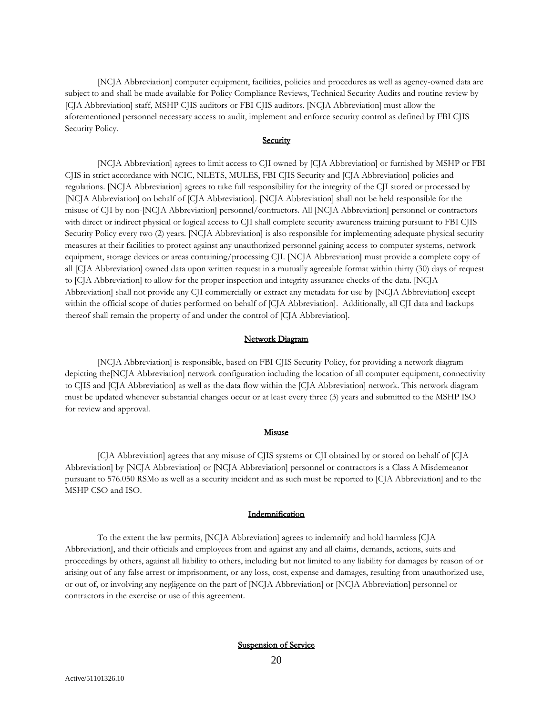[NCJA Abbreviation] computer equipment, facilities, policies and procedures as well as agency-owned data are subject to and shall be made available for Policy Compliance Reviews, Technical Security Audits and routine review by [CJA Abbreviation] staff, MSHP CJIS auditors or FBI CJIS auditors. [NCJA Abbreviation] must allow the aforementioned personnel necessary access to audit, implement and enforce security control as defined by FBI CJIS Security Policy.

### **Security**

[NCJA Abbreviation] agrees to limit access to CJI owned by [CJA Abbreviation] or furnished by MSHP or FBI CJIS in strict accordance with NCIC, NLETS, MULES, FBI CJIS Security and [CJA Abbreviation] policies and regulations. [NCJA Abbreviation] agrees to take full responsibility for the integrity of the CJI stored or processed by [NCJA Abbreviation] on behalf of [CJA Abbreviation]. [NCJA Abbreviation] shall not be held responsible for the misuse of CJI by non-[NCJA Abbreviation] personnel/contractors. All [NCJA Abbreviation] personnel or contractors with direct or indirect physical or logical access to CJI shall complete security awareness training pursuant to FBI CJIS Security Policy every two (2) years. [NCJA Abbreviation] is also responsible for implementing adequate physical security measures at their facilities to protect against any unauthorized personnel gaining access to computer systems, network equipment, storage devices or areas containing/processing CJI. [NCJA Abbreviation] must provide a complete copy of all [CJA Abbreviation] owned data upon written request in a mutually agreeable format within thirty (30) days of request to [CJA Abbreviation] to allow for the proper inspection and integrity assurance checks of the data. [NCJA Abbreviation] shall not provide any CJI commercially or extract any metadata for use by [NCJA Abbreviation] except within the official scope of duties performed on behalf of [CJA Abbreviation]. Additionally, all CJI data and backups thereof shall remain the property of and under the control of [CJA Abbreviation].

### Network Diagram

[NCJA Abbreviation] is responsible, based on FBI CJIS Security Policy, for providing a network diagram depicting the[NCJA Abbreviation] network configuration including the location of all computer equipment, connectivity to CJIS and [CJA Abbreviation] as well as the data flow within the [CJA Abbreviation] network. This network diagram must be updated whenever substantial changes occur or at least every three (3) years and submitted to the MSHP ISO for review and approval.

### Misuse

[CJA Abbreviation] agrees that any misuse of CJIS systems or CJI obtained by or stored on behalf of [CJA Abbreviation] by [NCJA Abbreviation] or [NCJA Abbreviation] personnel or contractors is a Class A Misdemeanor pursuant to 576.050 RSMo as well as a security incident and as such must be reported to [CJA Abbreviation] and to the MSHP CSO and ISO.

### Indemnification

To the extent the law permits, [NCJA Abbreviation] agrees to indemnify and hold harmless [CJA Abbreviation], and their officials and employees from and against any and all claims, demands, actions, suits and proceedings by others, against all liability to others, including but not limited to any liability for damages by reason of or arising out of any false arrest or imprisonment, or any loss, cost, expense and damages, resulting from unauthorized use, or out of, or involving any negligence on the part of [NCJA Abbreviation] or [NCJA Abbreviation] personnel or contractors in the exercise or use of this agreement.

Suspension of Service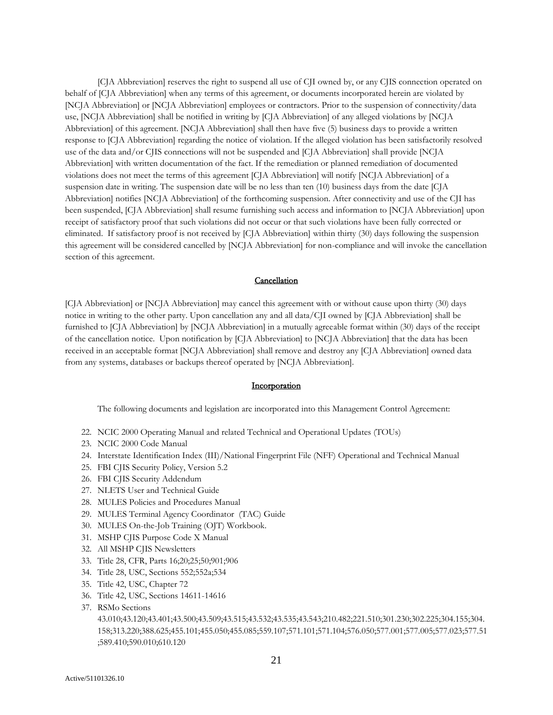[CJA Abbreviation] reserves the right to suspend all use of CJI owned by, or any CJIS connection operated on behalf of [CJA Abbreviation] when any terms of this agreement, or documents incorporated herein are violated by [NCJA Abbreviation] or [NCJA Abbreviation] employees or contractors. Prior to the suspension of connectivity/data use, [NCJA Abbreviation] shall be notified in writing by [CJA Abbreviation] of any alleged violations by [NCJA Abbreviation] of this agreement. [NCJA Abbreviation] shall then have five (5) business days to provide a written response to [CJA Abbreviation] regarding the notice of violation. If the alleged violation has been satisfactorily resolved use of the data and/or CJIS connections will not be suspended and [CJA Abbreviation] shall provide [NCJA Abbreviation] with written documentation of the fact. If the remediation or planned remediation of documented violations does not meet the terms of this agreement [CJA Abbreviation] will notify [NCJA Abbreviation] of a suspension date in writing. The suspension date will be no less than ten (10) business days from the date [CJA Abbreviation] notifies [NCJA Abbreviation] of the forthcoming suspension. After connectivity and use of the CJI has been suspended, [CJA Abbreviation] shall resume furnishing such access and information to [NCJA Abbreviation] upon receipt of satisfactory proof that such violations did not occur or that such violations have been fully corrected or eliminated. If satisfactory proof is not received by [CJA Abbreviation] within thirty (30) days following the suspension this agreement will be considered cancelled by [NCJA Abbreviation] for non-compliance and will invoke the cancellation section of this agreement.

### **Cancellation**

[CJA Abbreviation] or [NCJA Abbreviation] may cancel this agreement with or without cause upon thirty (30) days notice in writing to the other party. Upon cancellation any and all data/CJI owned by [CJA Abbreviation] shall be furnished to [CJA Abbreviation] by [NCJA Abbreviation] in a mutually agreeable format within (30) days of the receipt of the cancellation notice. Upon notification by [CJA Abbreviation] to [NCJA Abbreviation] that the data has been received in an acceptable format [NCJA Abbreviation] shall remove and destroy any [CJA Abbreviation] owned data from any systems, databases or backups thereof operated by [NCJA Abbreviation].

### **Incorporation**

The following documents and legislation are incorporated into this Management Control Agreement:

- 22. NCIC 2000 Operating Manual and related Technical and Operational Updates (TOUs)
- 23. NCIC 2000 Code Manual
- 24. Interstate Identification Index (III)/National Fingerprint File (NFF) Operational and Technical Manual
- 25. FBI CJIS Security Policy, Version 5.2
- 26. FBI CJIS Security Addendum
- 27. NLETS User and Technical Guide
- 28. MULES Policies and Procedures Manual
- 29. MULES Terminal Agency Coordinator (TAC) Guide
- 30. MULES On-the-Job Training (OJT) Workbook.
- 31. MSHP CJIS Purpose Code X Manual
- 32. All MSHP CJIS Newsletters
- 33. Title 28, CFR, Parts 16;20;25;50;901;906
- 34. Title 28, USC, Sections 552;552a;534
- 35. Title 42, USC, Chapter 72
- 36. Title 42, USC, Sections 14611-14616
- 37. RSMo Sections

43.010;43.120;43.401;43.500;43.509;43.515;43.532;43.535;43.543;210.482;221.510;301.230;302.225;304.155;304. 158;313.220;388.625;455.101;455.050;455.085;559.107;571.101;571.104;576.050;577.001;577.005;577.023;577.51 ;589.410;590.010;610.120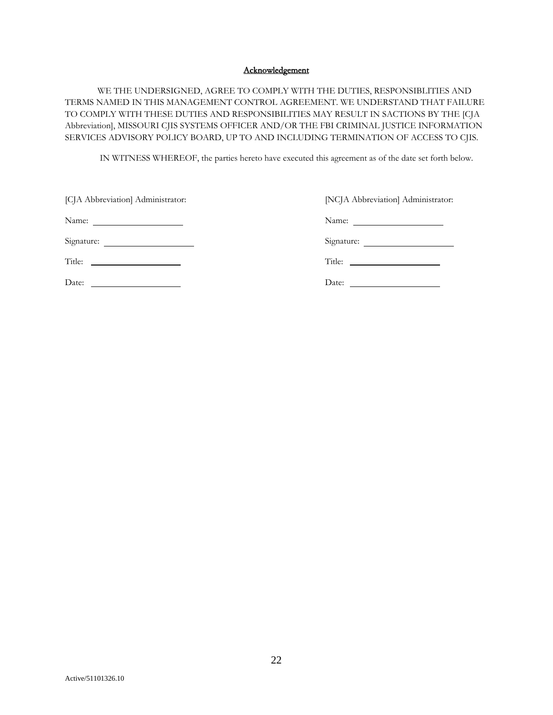### Acknowledgement

WE THE UNDERSIGNED, AGREE TO COMPLY WITH THE DUTIES, RESPONSIBLITIES AND TERMS NAMED IN THIS MANAGEMENT CONTROL AGREEMENT. WE UNDERSTAND THAT FAILURE TO COMPLY WITH THESE DUTIES AND RESPONSIBILITIES MAY RESULT IN SACTIONS BY THE [CJA Abbreviation], MISSOURI CJIS SYSTEMS OFFICER AND/OR THE FBI CRIMINAL JUSTICE INFORMATION SERVICES ADVISORY POLICY BOARD, UP TO AND INCLUDING TERMINATION OF ACCESS TO CJIS.

IN WITNESS WHEREOF, the parties hereto have executed this agreement as of the date set forth below.

| [CJA Abbreviation] Administrator:                                                                                                                                                                                                             | [NCJA Abbreviation] Administrator: |
|-----------------------------------------------------------------------------------------------------------------------------------------------------------------------------------------------------------------------------------------------|------------------------------------|
|                                                                                                                                                                                                                                               |                                    |
| Signature:                                                                                                                                                                                                                                    | Signature:                         |
|                                                                                                                                                                                                                                               |                                    |
| Date:<br><u> 1989 - Johann Harry Harry Harry Harry Harry Harry Harry Harry Harry Harry Harry Harry Harry Harry Harry Harry Harry Harry Harry Harry Harry Harry Harry Harry Harry Harry Harry Harry Harry Harry Harry Harry Harry Harry Ha</u> |                                    |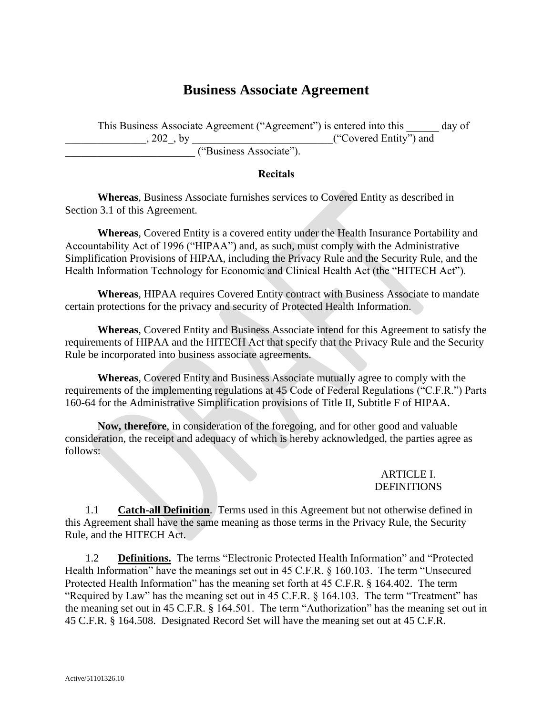# **Business Associate Agreement**

This Business Associate Agreement ("Agreement") is entered into this \_\_\_\_\_\_ day of , 202, by  $($  "Covered Entity") and \_\_\_\_\_\_\_\_\_\_\_\_\_\_\_\_\_\_\_\_\_\_\_\_ ("Business Associate").

## **Recitals**

**Whereas**, Business Associate furnishes services to Covered Entity as described in Section 3.1 of this Agreement.

**Whereas**, Covered Entity is a covered entity under the Health Insurance Portability and Accountability Act of 1996 ("HIPAA") and, as such, must comply with the Administrative Simplification Provisions of HIPAA, including the Privacy Rule and the Security Rule, and the Health Information Technology for Economic and Clinical Health Act (the "HITECH Act").

**Whereas**, HIPAA requires Covered Entity contract with Business Associate to mandate certain protections for the privacy and security of Protected Health Information.

**Whereas**, Covered Entity and Business Associate intend for this Agreement to satisfy the requirements of HIPAA and the HITECH Act that specify that the Privacy Rule and the Security Rule be incorporated into business associate agreements.

**Whereas**, Covered Entity and Business Associate mutually agree to comply with the requirements of the implementing regulations at 45 Code of Federal Regulations ("C.F.R.") Parts 160-64 for the Administrative Simplification provisions of Title II, Subtitle F of HIPAA.

**Now, therefore**, in consideration of the foregoing, and for other good and valuable consideration, the receipt and adequacy of which is hereby acknowledged, the parties agree as follows:

## ARTICLE I. DEFINITIONS

1.1 **Catch-all Definition**. Terms used in this Agreement but not otherwise defined in this Agreement shall have the same meaning as those terms in the Privacy Rule, the Security Rule, and the HITECH Act.

1.2 **Definitions.** The terms "Electronic Protected Health Information" and "Protected Health Information" have the meanings set out in 45 C.F.R. § 160.103. The term "Unsecured Protected Health Information" has the meaning set forth at 45 C.F.R. § 164.402. The term "Required by Law" has the meaning set out in 45 C.F.R. § 164.103. The term "Treatment" has the meaning set out in 45 C.F.R. § 164.501. The term "Authorization" has the meaning set out in 45 C.F.R. § 164.508. Designated Record Set will have the meaning set out at 45 C.F.R.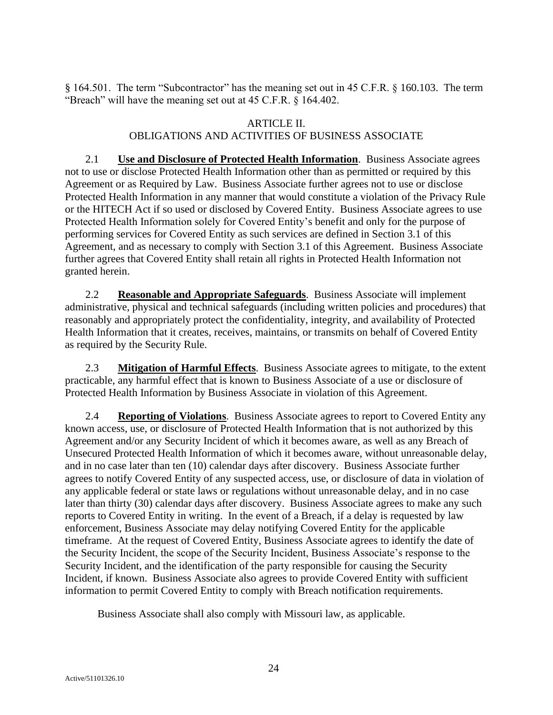§ 164.501. The term "Subcontractor" has the meaning set out in 45 C.F.R. § 160.103. The term "Breach" will have the meaning set out at 45 C.F.R. § 164.402.

## ARTICLE II.

# OBLIGATIONS AND ACTIVITIES OF BUSINESS ASSOCIATE

2.1 **Use and Disclosure of Protected Health Information**. Business Associate agrees not to use or disclose Protected Health Information other than as permitted or required by this Agreement or as Required by Law. Business Associate further agrees not to use or disclose Protected Health Information in any manner that would constitute a violation of the Privacy Rule or the HITECH Act if so used or disclosed by Covered Entity. Business Associate agrees to use Protected Health Information solely for Covered Entity's benefit and only for the purpose of performing services for Covered Entity as such services are defined in Section 3.1 of this Agreement, and as necessary to comply with Section 3.1 of this Agreement. Business Associate further agrees that Covered Entity shall retain all rights in Protected Health Information not granted herein.

2.2 **Reasonable and Appropriate Safeguards**. Business Associate will implement administrative, physical and technical safeguards (including written policies and procedures) that reasonably and appropriately protect the confidentiality, integrity, and availability of Protected Health Information that it creates, receives, maintains, or transmits on behalf of Covered Entity as required by the Security Rule.

2.3 **Mitigation of Harmful Effects**. Business Associate agrees to mitigate, to the extent practicable, any harmful effect that is known to Business Associate of a use or disclosure of Protected Health Information by Business Associate in violation of this Agreement.

2.4 **Reporting of Violations**. Business Associate agrees to report to Covered Entity any known access, use, or disclosure of Protected Health Information that is not authorized by this Agreement and/or any Security Incident of which it becomes aware, as well as any Breach of Unsecured Protected Health Information of which it becomes aware, without unreasonable delay, and in no case later than ten (10) calendar days after discovery. Business Associate further agrees to notify Covered Entity of any suspected access, use, or disclosure of data in violation of any applicable federal or state laws or regulations without unreasonable delay, and in no case later than thirty (30) calendar days after discovery. Business Associate agrees to make any such reports to Covered Entity in writing. In the event of a Breach, if a delay is requested by law enforcement, Business Associate may delay notifying Covered Entity for the applicable timeframe. At the request of Covered Entity, Business Associate agrees to identify the date of the Security Incident, the scope of the Security Incident, Business Associate's response to the Security Incident, and the identification of the party responsible for causing the Security Incident, if known. Business Associate also agrees to provide Covered Entity with sufficient information to permit Covered Entity to comply with Breach notification requirements.

Business Associate shall also comply with Missouri law, as applicable.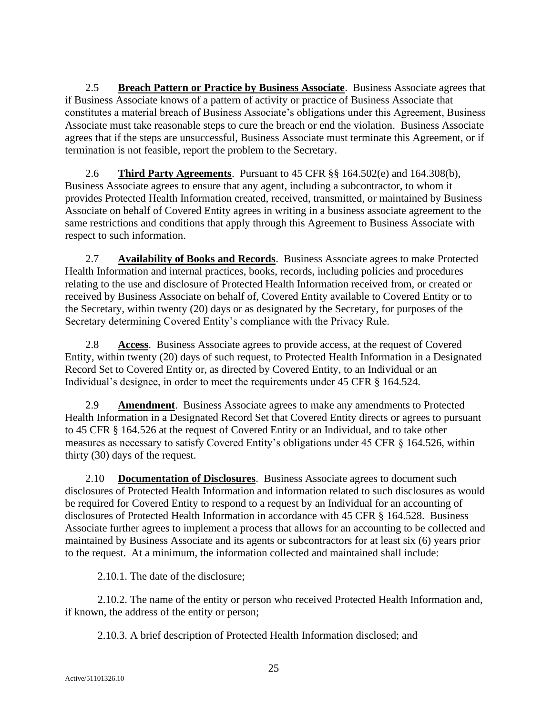2.5 **Breach Pattern or Practice by Business Associate**. Business Associate agrees that if Business Associate knows of a pattern of activity or practice of Business Associate that constitutes a material breach of Business Associate's obligations under this Agreement, Business Associate must take reasonable steps to cure the breach or end the violation. Business Associate agrees that if the steps are unsuccessful, Business Associate must terminate this Agreement, or if termination is not feasible, report the problem to the Secretary.

2.6 **Third Party Agreements**. Pursuant to 45 CFR §§ 164.502(e) and 164.308(b), Business Associate agrees to ensure that any agent, including a subcontractor, to whom it provides Protected Health Information created, received, transmitted, or maintained by Business Associate on behalf of Covered Entity agrees in writing in a business associate agreement to the same restrictions and conditions that apply through this Agreement to Business Associate with respect to such information.

<span id="page-24-1"></span>2.7 **Availability of Books and Records**. Business Associate agrees to make Protected Health Information and internal practices, books, records, including policies and procedures relating to the use and disclosure of Protected Health Information received from, or created or received by Business Associate on behalf of, Covered Entity available to Covered Entity or to the Secretary, within twenty (20) days or as designated by the Secretary, for purposes of the Secretary determining Covered Entity's compliance with the Privacy Rule.

2.8 **Access**. Business Associate agrees to provide access, at the request of Covered Entity, within twenty (20) days of such request, to Protected Health Information in a Designated Record Set to Covered Entity or, as directed by Covered Entity, to an Individual or an Individual's designee, in order to meet the requirements under 45 CFR § 164.524.

2.9 **Amendment**. Business Associate agrees to make any amendments to Protected Health Information in a Designated Record Set that Covered Entity directs or agrees to pursuant to 45 CFR § 164.526 at the request of Covered Entity or an Individual, and to take other measures as necessary to satisfy Covered Entity's obligations under 45 CFR § 164.526, within thirty (30) days of the request.

<span id="page-24-0"></span>2.10 **Documentation of Disclosures**. Business Associate agrees to document such disclosures of Protected Health Information and information related to such disclosures as would be required for Covered Entity to respond to a request by an Individual for an accounting of disclosures of Protected Health Information in accordance with 45 CFR § 164.528. Business Associate further agrees to implement a process that allows for an accounting to be collected and maintained by Business Associate and its agents or subcontractors for at least six (6) years prior to the request. At a minimum, the information collected and maintained shall include:

2.10.1. The date of the disclosure;

2.10.2. The name of the entity or person who received Protected Health Information and, if known, the address of the entity or person;

2.10.3. A brief description of Protected Health Information disclosed; and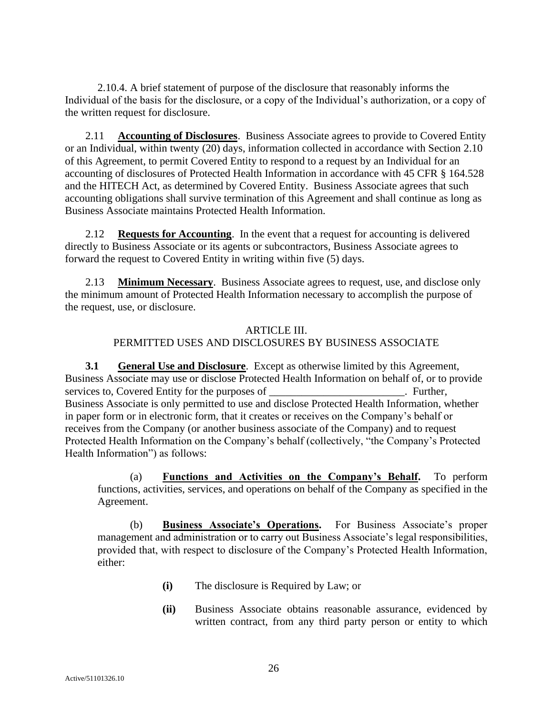2.10.4. A brief statement of purpose of the disclosure that reasonably informs the Individual of the basis for the disclosure, or a copy of the Individual's authorization, or a copy of the written request for disclosure.

2.11 **Accounting of Disclosures**. Business Associate agrees to provide to Covered Entity or an Individual, within twenty (20) days, information collected in accordance with Section [2.10](#page-24-0) of this Agreement, to permit Covered Entity to respond to a request by an Individual for an accounting of disclosures of Protected Health Information in accordance with 45 CFR § 164.528 and the HITECH Act, as determined by Covered Entity. Business Associate agrees that such accounting obligations shall survive termination of this Agreement and shall continue as long as Business Associate maintains Protected Health Information.

2.12 **Requests for Accounting**. In the event that a request for accounting is delivered directly to Business Associate or its agents or subcontractors, Business Associate agrees to forward the request to Covered Entity in writing within five (5) days.

2.13 **Minimum Necessary**. Business Associate agrees to request, use, and disclose only the minimum amount of Protected Health Information necessary to accomplish the purpose of the request, use, or disclosure.

# ARTICLE III. PERMITTED USES AND DISCLOSURES BY BUSINESS ASSOCIATE

**3.1 General Use and Disclosure**. Except as otherwise limited by this Agreement, Business Associate may use or disclose Protected Health Information on behalf of, or to provide services to, Covered Entity for the purposes of \_\_\_\_\_\_\_\_\_\_\_\_\_\_\_\_\_\_\_\_\_\_\_. Further, Business Associate is only permitted to use and disclose Protected Health Information, whether in paper form or in electronic form, that it creates or receives on the Company's behalf or receives from the Company (or another business associate of the Company) and to request Protected Health Information on the Company's behalf (collectively, "the Company's Protected Health Information") as follows:

(a) **Functions and Activities on the Company's Behalf.** To perform functions, activities, services, and operations on behalf of the Company as specified in the Agreement.

(b) **Business Associate's Operations.** For Business Associate's proper management and administration or to carry out Business Associate's legal responsibilities, provided that, with respect to disclosure of the Company's Protected Health Information, either:

- **(i)** The disclosure is Required by Law; or
- **(ii)** Business Associate obtains reasonable assurance, evidenced by written contract, from any third party person or entity to which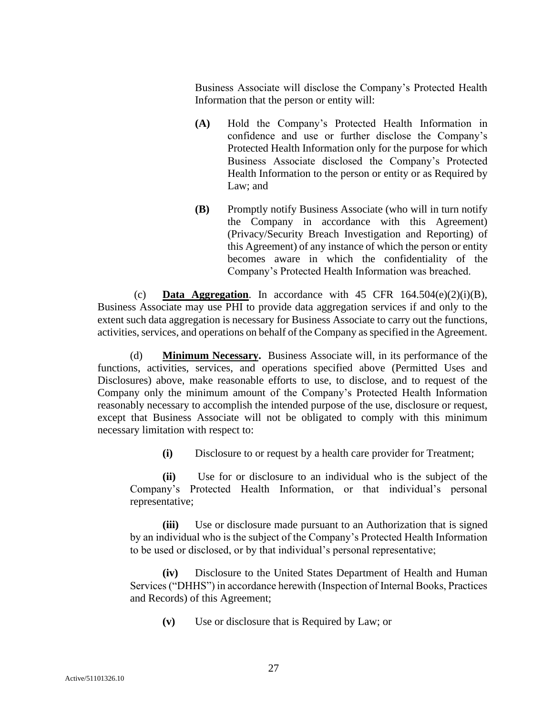Business Associate will disclose the Company's Protected Health Information that the person or entity will:

- **(A)** Hold the Company's Protected Health Information in confidence and use or further disclose the Company's Protected Health Information only for the purpose for which Business Associate disclosed the Company's Protected Health Information to the person or entity or as Required by Law; and
- **(B)** Promptly notify Business Associate (who will in turn notify the Company in accordance with this Agreement) (Privacy/Security Breach Investigation and Reporting) of this Agreement) of any instance of which the person or entity becomes aware in which the confidentiality of the Company's Protected Health Information was breached.

(c) **Data Aggregation**. In accordance with 45 CFR  $164.504(e)(2)(i)(B)$ , Business Associate may use PHI to provide data aggregation services if and only to the extent such data aggregation is necessary for Business Associate to carry out the functions, activities, services, and operations on behalf of the Company as specified in the Agreement.

(d) **Minimum Necessary.** Business Associate will, in its performance of the functions, activities, services, and operations specified above (Permitted Uses and Disclosures) above, make reasonable efforts to use, to disclose, and to request of the Company only the minimum amount of the Company's Protected Health Information reasonably necessary to accomplish the intended purpose of the use, disclosure or request, except that Business Associate will not be obligated to comply with this minimum necessary limitation with respect to:

**(i)** Disclosure to or request by a health care provider for Treatment;

**(ii)** Use for or disclosure to an individual who is the subject of the Company's Protected Health Information, or that individual's personal representative;

**(iii)** Use or disclosure made pursuant to an Authorization that is signed by an individual who is the subject of the Company's Protected Health Information to be used or disclosed, or by that individual's personal representative;

**(iv)** Disclosure to the United States Department of Health and Human Services ("DHHS") in accordance herewith (Inspection of Internal Books, Practices and Records) of this Agreement;

**(v)** Use or disclosure that is Required by Law; or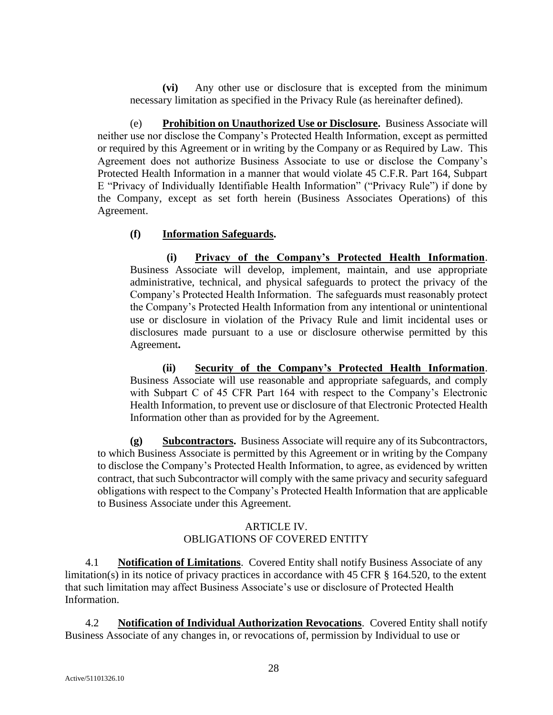**(vi)** Any other use or disclosure that is excepted from the minimum necessary limitation as specified in the Privacy Rule (as hereinafter defined).

(e) **Prohibition on Unauthorized Use or Disclosure.** Business Associate will neither use nor disclose the Company's Protected Health Information, except as permitted or required by this Agreement or in writing by the Company or as Required by Law. This Agreement does not authorize Business Associate to use or disclose the Company's Protected Health Information in a manner that would violate 45 C.F.R. Part 164, Subpart E "Privacy of Individually Identifiable Health Information" ("Privacy Rule") if done by the Company, except as set forth herein (Business Associates Operations) of this Agreement.

## **(f) Information Safeguards.**

**(i) Privacy of the Company's Protected Health Information**. Business Associate will develop, implement, maintain, and use appropriate administrative, technical, and physical safeguards to protect the privacy of the Company's Protected Health Information. The safeguards must reasonably protect the Company's Protected Health Information from any intentional or unintentional use or disclosure in violation of the Privacy Rule and limit incidental uses or disclosures made pursuant to a use or disclosure otherwise permitted by this Agreement**.**

**(ii) Security of the Company's Protected Health Information**. Business Associate will use reasonable and appropriate safeguards, and comply with Subpart C of 45 CFR Part 164 with respect to the Company's Electronic Health Information, to prevent use or disclosure of that Electronic Protected Health Information other than as provided for by the Agreement.

**(g) Subcontractors.** Business Associate will require any of its Subcontractors, to which Business Associate is permitted by this Agreement or in writing by the Company to disclose the Company's Protected Health Information, to agree, as evidenced by written contract, that such Subcontractor will comply with the same privacy and security safeguard obligations with respect to the Company's Protected Health Information that are applicable to Business Associate under this Agreement.

# ARTICLE IV. OBLIGATIONS OF COVERED ENTITY

4.1 **Notification of Limitations**. Covered Entity shall notify Business Associate of any limitation(s) in its notice of privacy practices in accordance with 45 CFR § 164.520, to the extent that such limitation may affect Business Associate's use or disclosure of Protected Health Information.

4.2 **Notification of Individual Authorization Revocations**. Covered Entity shall notify Business Associate of any changes in, or revocations of, permission by Individual to use or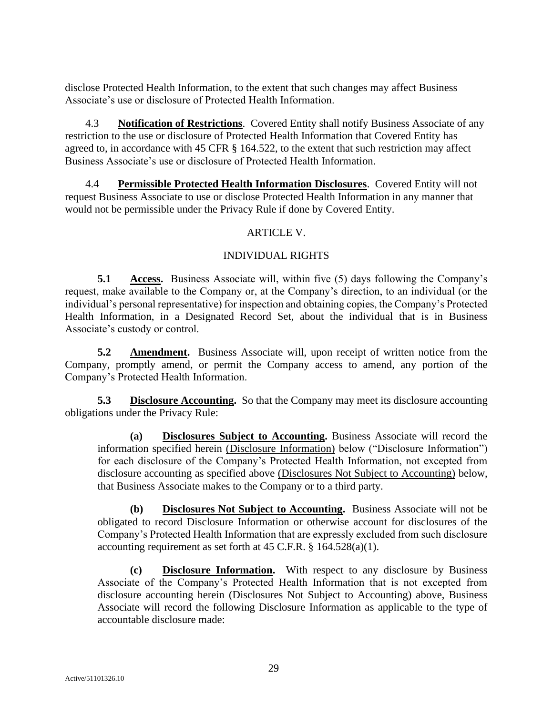disclose Protected Health Information, to the extent that such changes may affect Business Associate's use or disclosure of Protected Health Information.

4.3 **Notification of Restrictions**. Covered Entity shall notify Business Associate of any restriction to the use or disclosure of Protected Health Information that Covered Entity has agreed to, in accordance with 45 CFR § 164.522, to the extent that such restriction may affect Business Associate's use or disclosure of Protected Health Information.

4.4 **Permissible Protected Health Information Disclosures**. Covered Entity will not request Business Associate to use or disclose Protected Health Information in any manner that would not be permissible under the Privacy Rule if done by Covered Entity.

# ARTICLE V.

# INDIVIDUAL RIGHTS

**5.1 Access.** Business Associate will, within five (5) days following the Company's request, make available to the Company or, at the Company's direction, to an individual (or the individual's personal representative) for inspection and obtaining copies, the Company's Protected Health Information, in a Designated Record Set, about the individual that is in Business Associate's custody or control.

**5.2 Amendment.** Business Associate will, upon receipt of written notice from the Company, promptly amend, or permit the Company access to amend, any portion of the Company's Protected Health Information.

**5.3 Disclosure Accounting.** So that the Company may meet its disclosure accounting obligations under the Privacy Rule:

**(a) Disclosures Subject to Accounting.** Business Associate will record the information specified herein (Disclosure Information) below ("Disclosure Information") for each disclosure of the Company's Protected Health Information, not excepted from disclosure accounting as specified above (Disclosures Not Subject to Accounting) below, that Business Associate makes to the Company or to a third party.

**(b) Disclosures Not Subject to Accounting.** Business Associate will not be obligated to record Disclosure Information or otherwise account for disclosures of the Company's Protected Health Information that are expressly excluded from such disclosure accounting requirement as set forth at 45 C.F.R. § 164.528(a)(1).

**(c) Disclosure Information.** With respect to any disclosure by Business Associate of the Company's Protected Health Information that is not excepted from disclosure accounting herein (Disclosures Not Subject to Accounting) above, Business Associate will record the following Disclosure Information as applicable to the type of accountable disclosure made: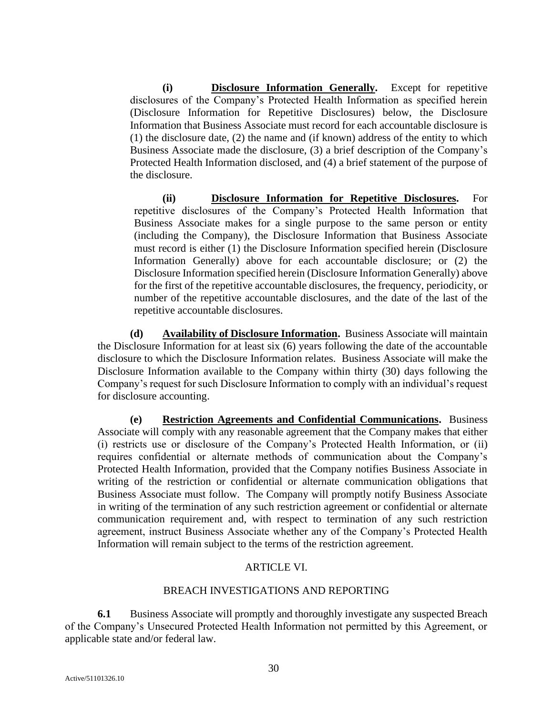**(i) Disclosure Information Generally.** Except for repetitive disclosures of the Company's Protected Health Information as specified herein (Disclosure Information for Repetitive Disclosures) below, the Disclosure Information that Business Associate must record for each accountable disclosure is (1) the disclosure date, (2) the name and (if known) address of the entity to which Business Associate made the disclosure, (3) a brief description of the Company's Protected Health Information disclosed, and (4) a brief statement of the purpose of the disclosure.

**(ii) Disclosure Information for Repetitive Disclosures.** For repetitive disclosures of the Company's Protected Health Information that Business Associate makes for a single purpose to the same person or entity (including the Company), the Disclosure Information that Business Associate must record is either (1) the Disclosure Information specified herein (Disclosure Information Generally) above for each accountable disclosure; or (2) the Disclosure Information specified herein (Disclosure Information Generally) above for the first of the repetitive accountable disclosures, the frequency, periodicity, or number of the repetitive accountable disclosures, and the date of the last of the repetitive accountable disclosures.

**(d) Availability of Disclosure Information.** Business Associate will maintain the Disclosure Information for at least six (6) years following the date of the accountable disclosure to which the Disclosure Information relates. Business Associate will make the Disclosure Information available to the Company within thirty (30) days following the Company's request for such Disclosure Information to comply with an individual's request for disclosure accounting.

**(e) Restriction Agreements and Confidential Communications.** Business Associate will comply with any reasonable agreement that the Company makes that either (i) restricts use or disclosure of the Company's Protected Health Information, or (ii) requires confidential or alternate methods of communication about the Company's Protected Health Information, provided that the Company notifies Business Associate in writing of the restriction or confidential or alternate communication obligations that Business Associate must follow. The Company will promptly notify Business Associate in writing of the termination of any such restriction agreement or confidential or alternate communication requirement and, with respect to termination of any such restriction agreement, instruct Business Associate whether any of the Company's Protected Health Information will remain subject to the terms of the restriction agreement.

# ARTICLE VI.

## BREACH INVESTIGATIONS AND REPORTING

**6.1** Business Associate will promptly and thoroughly investigate any suspected Breach of the Company's Unsecured Protected Health Information not permitted by this Agreement, or applicable state and/or federal law.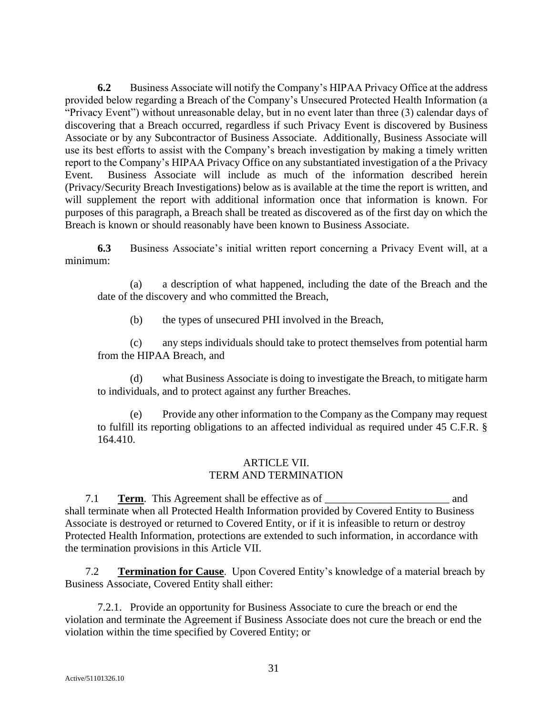**6.2** Business Associate will notify the Company's HIPAA Privacy Office at the address provided below regarding a Breach of the Company's Unsecured Protected Health Information (a "Privacy Event") without unreasonable delay, but in no event later than three (3) calendar days of discovering that a Breach occurred, regardless if such Privacy Event is discovered by Business Associate or by any Subcontractor of Business Associate. Additionally, Business Associate will use its best efforts to assist with the Company's breach investigation by making a timely written report to the Company's HIPAA Privacy Office on any substantiated investigation of a the Privacy Event. Business Associate will include as much of the information described herein (Privacy/Security Breach Investigations) below as is available at the time the report is written, and will supplement the report with additional information once that information is known. For purposes of this paragraph, a Breach shall be treated as discovered as of the first day on which the Breach is known or should reasonably have been known to Business Associate.

**6.3** Business Associate's initial written report concerning a Privacy Event will, at a minimum:

(a) a description of what happened, including the date of the Breach and the date of the discovery and who committed the Breach,

(b) the types of unsecured PHI involved in the Breach,

(c) any steps individuals should take to protect themselves from potential harm from the HIPAA Breach, and

(d) what Business Associate is doing to investigate the Breach, to mitigate harm to individuals, and to protect against any further Breaches.

Provide any other information to the Company as the Company may request to fulfill its reporting obligations to an affected individual as required under 45 C.F.R. § 164.410.

## ARTICLE VII. TERM AND TERMINATION

<span id="page-30-0"></span>7.1 **Term.** This Agreement shall be effective as of and shall terminate when all Protected Health Information provided by Covered Entity to Business Associate is destroyed or returned to Covered Entity, or if it is infeasible to return or destroy Protected Health Information, protections are extended to such information, in accordance with the termination provisions in this [Article VII.](#page-30-0)

7.2 **Termination for Cause**. Upon Covered Entity's knowledge of a material breach by Business Associate, Covered Entity shall either:

7.2.1. Provide an opportunity for Business Associate to cure the breach or end the violation and terminate the Agreement if Business Associate does not cure the breach or end the violation within the time specified by Covered Entity; or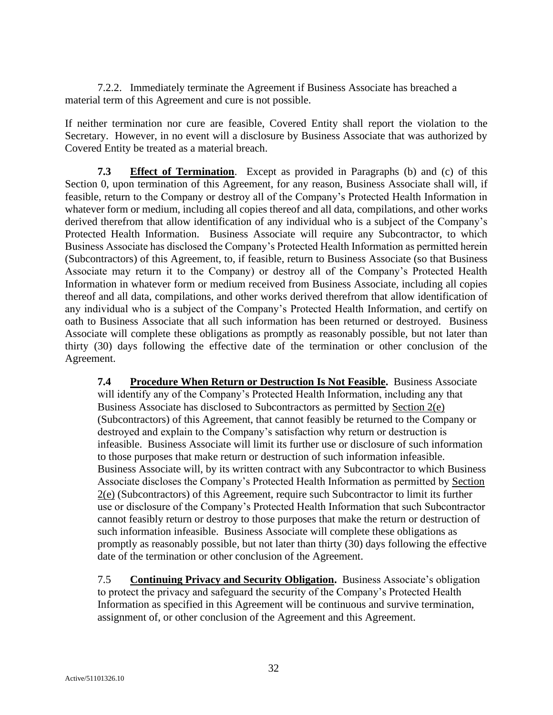7.2.2. Immediately terminate the Agreement if Business Associate has breached a material term of this Agreement and cure is not possible.

<span id="page-31-0"></span>If neither termination nor cure are feasible, Covered Entity shall report the violation to the Secretary. However, in no event will a disclosure by Business Associate that was authorized by Covered Entity be treated as a material breach.

**7.3 Effect of Termination**. Except as provided in Paragraphs (b) and (c) of this Section [0,](#page-31-0) upon termination of this Agreement, for any reason, Business Associate shall will, if feasible, return to the Company or destroy all of the Company's Protected Health Information in whatever form or medium, including all copies thereof and all data, compilations, and other works derived therefrom that allow identification of any individual who is a subject of the Company's Protected Health Information. Business Associate will require any Subcontractor, to which Business Associate has disclosed the Company's Protected Health Information as permitted herein (Subcontractors) of this Agreement, to, if feasible, return to Business Associate (so that Business Associate may return it to the Company) or destroy all of the Company's Protected Health Information in whatever form or medium received from Business Associate, including all copies thereof and all data, compilations, and other works derived therefrom that allow identification of any individual who is a subject of the Company's Protected Health Information, and certify on oath to Business Associate that all such information has been returned or destroyed. Business Associate will complete these obligations as promptly as reasonably possible, but not later than thirty (30) days following the effective date of the termination or other conclusion of the Agreement.

**7.4 Procedure When Return or Destruction Is Not Feasible.** Business Associate will identify any of the Company's Protected Health Information, including any that Business Associate has disclosed to Subcontractors as permitted by Section 2(e) (Subcontractors) of this Agreement, that cannot feasibly be returned to the Company or destroyed and explain to the Company's satisfaction why return or destruction is infeasible. Business Associate will limit its further use or disclosure of such information to those purposes that make return or destruction of such information infeasible. Business Associate will, by its written contract with any Subcontractor to which Business Associate discloses the Company's Protected Health Information as permitted by Section 2(e) (Subcontractors) of this Agreement, require such Subcontractor to limit its further use or disclosure of the Company's Protected Health Information that such Subcontractor cannot feasibly return or destroy to those purposes that make the return or destruction of such information infeasible. Business Associate will complete these obligations as promptly as reasonably possible, but not later than thirty (30) days following the effective date of the termination or other conclusion of the Agreement.

7.5 **Continuing Privacy and Security Obligation.** Business Associate's obligation to protect the privacy and safeguard the security of the Company's Protected Health Information as specified in this Agreement will be continuous and survive termination, assignment of, or other conclusion of the Agreement and this Agreement.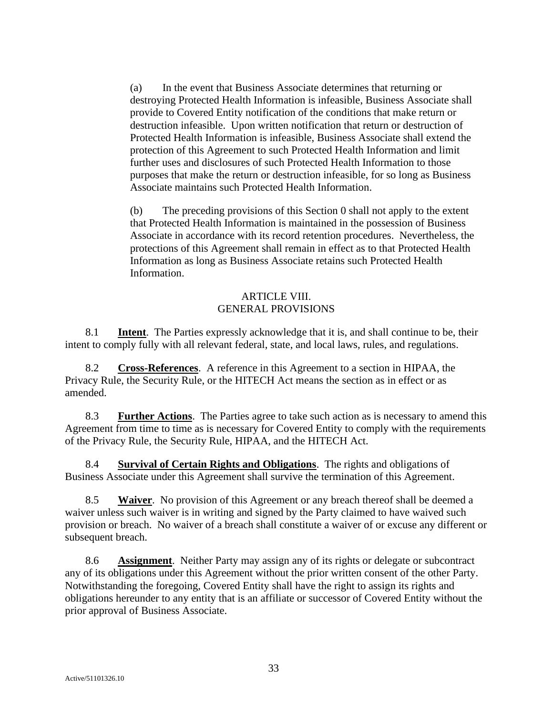(a) In the event that Business Associate determines that returning or destroying Protected Health Information is infeasible, Business Associate shall provide to Covered Entity notification of the conditions that make return or destruction infeasible. Upon written notification that return or destruction of Protected Health Information is infeasible, Business Associate shall extend the protection of this Agreement to such Protected Health Information and limit further uses and disclosures of such Protected Health Information to those purposes that make the return or destruction infeasible, for so long as Business Associate maintains such Protected Health Information.

(b) The preceding provisions of this Section [0](#page-31-0) shall not apply to the extent that Protected Health Information is maintained in the possession of Business Associate in accordance with its record retention procedures. Nevertheless, the protections of this Agreement shall remain in effect as to that Protected Health Information as long as Business Associate retains such Protected Health Information.

## ARTICLE VIII. GENERAL PROVISIONS

8.1 **Intent**. The Parties expressly acknowledge that it is, and shall continue to be, their intent to comply fully with all relevant federal, state, and local laws, rules, and regulations.

8.2 **Cross-References**. A reference in this Agreement to a section in HIPAA, the Privacy Rule, the Security Rule, or the HITECH Act means the section as in effect or as amended.

8.3 **Further Actions**. The Parties agree to take such action as is necessary to amend this Agreement from time to time as is necessary for Covered Entity to comply with the requirements of the Privacy Rule, the Security Rule, HIPAA, and the HITECH Act.

8.4 **Survival of Certain Rights and Obligations**. The rights and obligations of Business Associate under this Agreement shall survive the termination of this Agreement.

8.5 **Waiver**. No provision of this Agreement or any breach thereof shall be deemed a waiver unless such waiver is in writing and signed by the Party claimed to have waived such provision or breach. No waiver of a breach shall constitute a waiver of or excuse any different or subsequent breach.

8.6 **Assignment**. Neither Party may assign any of its rights or delegate or subcontract any of its obligations under this Agreement without the prior written consent of the other Party. Notwithstanding the foregoing, Covered Entity shall have the right to assign its rights and obligations hereunder to any entity that is an affiliate or successor of Covered Entity without the prior approval of Business Associate.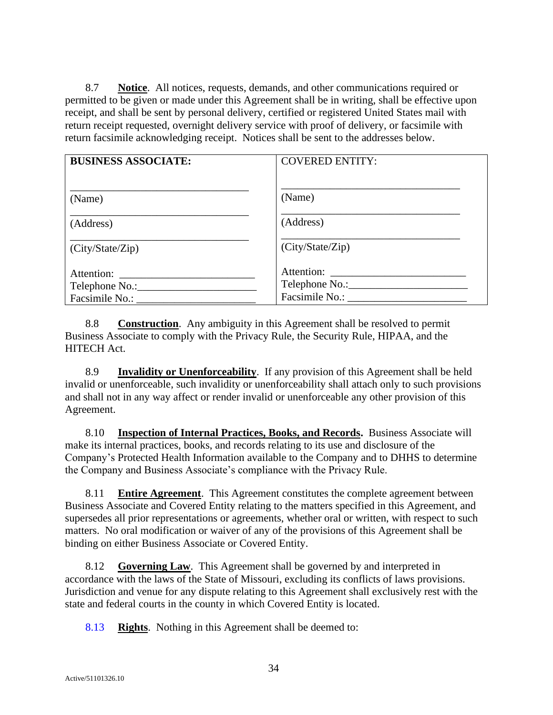8.7 **Notice**. All notices, requests, demands, and other communications required or permitted to be given or made under this Agreement shall be in writing, shall be effective upon receipt, and shall be sent by personal delivery, certified or registered United States mail with return receipt requested, overnight delivery service with proof of delivery, or facsimile with return facsimile acknowledging receipt. Notices shall be sent to the addresses below.

| <b>BUSINESS ASSOCIATE:</b> | <b>COVERED ENTITY:</b> |
|----------------------------|------------------------|
| (Name)                     | (Name)                 |
| (Address)                  | (Address)              |
| (City/State/Zip)           | (City/State/Zip)       |
| Facsimile No.:             | Facsimile No.:         |

8.8 **Construction**. Any ambiguity in this Agreement shall be resolved to permit Business Associate to comply with the Privacy Rule, the Security Rule, HIPAA, and the HITECH Act.

8.9 **Invalidity or Unenforceability**. If any provision of this Agreement shall be held invalid or unenforceable, such invalidity or unenforceability shall attach only to such provisions and shall not in any way affect or render invalid or unenforceable any other provision of this Agreement.

8.10 **Inspection of Internal Practices, Books, and Records.** Business Associate will make its internal practices, books, and records relating to its use and disclosure of the Company's Protected Health Information available to the Company and to DHHS to determine the Company and Business Associate's compliance with the Privacy Rule.

8.11 **Entire Agreement**. This Agreement constitutes the complete agreement between Business Associate and Covered Entity relating to the matters specified in this Agreement, and supersedes all prior representations or agreements, whether oral or written, with respect to such matters. No oral modification or waiver of any of the provisions of this Agreement shall be binding on either Business Associate or Covered Entity.

8.12 **Governing Law**. This Agreement shall be governed by and interpreted in accordance with the laws of the State of Missouri, excluding its conflicts of laws provisions. Jurisdiction and venue for any dispute relating to this Agreement shall exclusively rest with the state and federal courts in the county in which Covered Entity is located.

8.13 **Rights**. Nothing in this Agreement shall be deemed to: